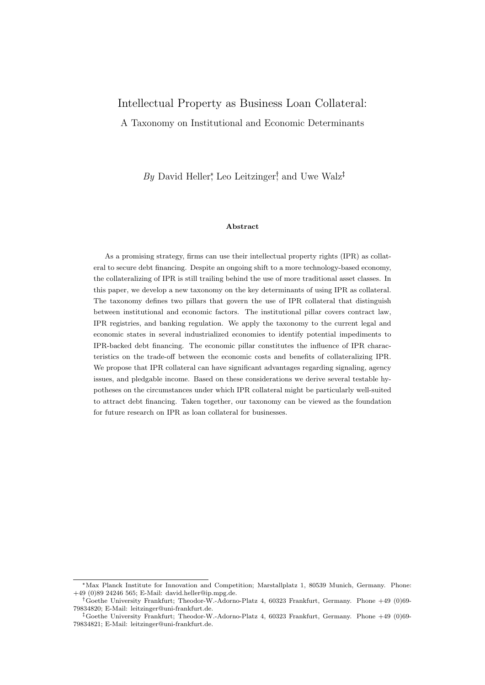# Intellectual Property as Business Loan Collateral: A Taxonomy on Institutional and Economic Determinants

By David Heller, Leo Leitzinger, and Uwe Walz<sup> $\ddagger$ </sup>

### Abstract

As a promising strategy, firms can use their intellectual property rights (IPR) as collateral to secure debt financing. Despite an ongoing shift to a more technology-based economy, the collateralizing of IPR is still trailing behind the use of more traditional asset classes. In this paper, we develop a new taxonomy on the key determinants of using IPR as collateral. The taxonomy defines two pillars that govern the use of IPR collateral that distinguish between institutional and economic factors. The institutional pillar covers contract law, IPR registries, and banking regulation. We apply the taxonomy to the current legal and economic states in several industrialized economies to identify potential impediments to IPR-backed debt financing. The economic pillar constitutes the influence of IPR characteristics on the trade-off between the economic costs and benefits of collateralizing IPR. We propose that IPR collateral can have significant advantages regarding signaling, agency issues, and pledgable income. Based on these considerations we derive several testable hypotheses on the circumstances under which IPR collateral might be particularly well-suited to attract debt financing. Taken together, our taxonomy can be viewed as the foundation for future research on IPR as loan collateral for businesses.

<sup>\*</sup>Max Planck Institute for Innovation and Competition; Marstallplatz 1, 80539 Munich, Germany. Phone: +49 (0)89 24246 565; E-Mail: [david.heller@ip.mpg.de.](mailto:david.heller@ip.mpg.de)

Goethe University Frankfurt; Theodor-W.-Adorno-Platz 4, 60323 Frankfurt, Germany. Phone +49 (0)69- 79834820; E-Mail: [leitzinger@uni-frankfurt.de.](mailto:leitzinger@uni-frankfurt.de)

<sup>&</sup>lt;sup> $\ddagger$ </sup>Goethe University Frankfurt; Theodor-W.-Adorno-Platz 4, 60323 Frankfurt, Germany. Phone +49 (0)69-79834821; E-Mail: [leitzinger@uni-frankfurt.de.](mailto:uwalz@econ.uni-frankfurt.de)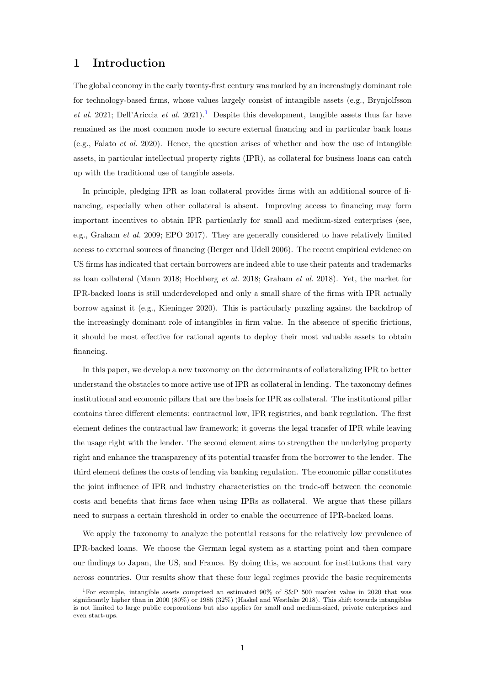## 1 Introduction

The global economy in the early twenty-first century was marked by an increasingly dominant role for technology-based firms, whose values largely consist of intangible assets (e.g., [Brynjolfsson](#page-22-0) [et al.](#page-22-0) [2021;](#page-22-0) [Dell'Ariccia](#page-22-1) et al. [2021\)](#page-22-1).<sup>[1](#page-1-0)</sup> Despite this development, tangible assets thus far have remained as the most common mode to secure external financing and in particular bank loans (e.g., [Falato](#page-22-2) et al. [2020\)](#page-22-2). Hence, the question arises of whether and how the use of intangible assets, in particular intellectual property rights (IPR), as collateral for business loans can catch up with the traditional use of tangible assets.

In principle, pledging IPR as loan collateral provides firms with an additional source of financing, especially when other collateral is absent. Improving access to financing may form important incentives to obtain IPR particularly for small and medium-sized enterprises (see, e.g., [Graham](#page-22-3) et al. [2009;](#page-22-3) [EPO](#page-22-4) [2017\)](#page-22-4). They are generally considered to have relatively limited access to external sources of financing [\(Berger and Udell](#page-22-5) [2006\)](#page-22-5). The recent empirical evidence on US firms has indicated that certain borrowers are indeed able to use their patents and trademarks as loan collateral [\(Mann](#page-23-0) [2018;](#page-23-0) [Hochberg](#page-23-1) et al. [2018;](#page-23-1) [Graham](#page-23-2) et al. [2018\)](#page-23-2). Yet, the market for IPR-backed loans is still underdeveloped and only a small share of the firms with IPR actually borrow against it (e.g., [Kieninger](#page-23-3) [2020\)](#page-23-3). This is particularly puzzling against the backdrop of the increasingly dominant role of intangibles in firm value. In the absence of specific frictions, it should be most effective for rational agents to deploy their most valuable assets to obtain financing.

In this paper, we develop a new taxonomy on the determinants of collateralizing IPR to better understand the obstacles to more active use of IPR as collateral in lending. The taxonomy defines institutional and economic pillars that are the basis for IPR as collateral. The institutional pillar contains three different elements: contractual law, IPR registries, and bank regulation. The first element defines the contractual law framework; it governs the legal transfer of IPR while leaving the usage right with the lender. The second element aims to strengthen the underlying property right and enhance the transparency of its potential transfer from the borrower to the lender. The third element defines the costs of lending via banking regulation. The economic pillar constitutes the joint influence of IPR and industry characteristics on the trade-off between the economic costs and benefits that firms face when using IPRs as collateral. We argue that these pillars need to surpass a certain threshold in order to enable the occurrence of IPR-backed loans.

We apply the taxonomy to analyze the potential reasons for the relatively low prevalence of IPR-backed loans. We choose the German legal system as a starting point and then compare our findings to Japan, the US, and France. By doing this, we account for institutions that vary across countries. Our results show that these four legal regimes provide the basic requirements

<span id="page-1-0"></span><sup>1</sup>For example, intangible assets comprised an estimated 90% of S&P 500 market value in 2020 that was significantly higher than in 2000 (80%) or 1985 (32%) [\(Haskel and Westlake](#page-23-4) [2018\)](#page-23-4). This shift towards intangibles is not limited to large public corporations but also applies for small and medium-sized, private enterprises and even start-ups.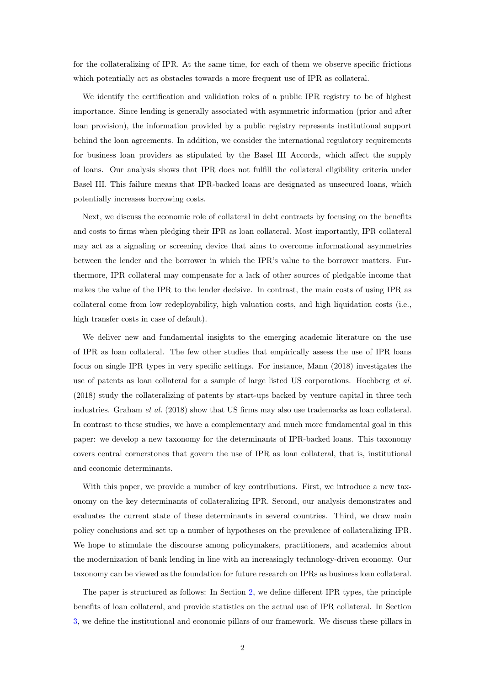for the collateralizing of IPR. At the same time, for each of them we observe specific frictions which potentially act as obstacles towards a more frequent use of IPR as collateral.

We identify the certification and validation roles of a public IPR registry to be of highest importance. Since lending is generally associated with asymmetric information (prior and after loan provision), the information provided by a public registry represents institutional support behind the loan agreements. In addition, we consider the international regulatory requirements for business loan providers as stipulated by the Basel III Accords, which affect the supply of loans. Our analysis shows that IPR does not fulfill the collateral eligibility criteria under Basel III. This failure means that IPR-backed loans are designated as unsecured loans, which potentially increases borrowing costs.

Next, we discuss the economic role of collateral in debt contracts by focusing on the benefits and costs to firms when pledging their IPR as loan collateral. Most importantly, IPR collateral may act as a signaling or screening device that aims to overcome informational asymmetries between the lender and the borrower in which the IPR's value to the borrower matters. Furthermore, IPR collateral may compensate for a lack of other sources of pledgable income that makes the value of the IPR to the lender decisive. In contrast, the main costs of using IPR as collateral come from low redeployability, high valuation costs, and high liquidation costs (i.e., high transfer costs in case of default).

We deliver new and fundamental insights to the emerging academic literature on the use of IPR as loan collateral. The few other studies that empirically assess the use of IPR loans focus on single IPR types in very specific settings. For instance, [Mann](#page-23-0) [\(2018\)](#page-23-0) investigates the use of patents as loan collateral for a sample of large listed US corporations. [Hochberg](#page-23-1) et al. [\(2018\)](#page-23-1) study the collateralizing of patents by start-ups backed by venture capital in three tech industries. [Graham](#page-23-2) et al. [\(2018\)](#page-23-2) show that US firms may also use trademarks as loan collateral. In contrast to these studies, we have a complementary and much more fundamental goal in this paper: we develop a new taxonomy for the determinants of IPR-backed loans. This taxonomy covers central cornerstones that govern the use of IPR as loan collateral, that is, institutional and economic determinants.

With this paper, we provide a number of key contributions. First, we introduce a new taxonomy on the key determinants of collateralizing IPR. Second, our analysis demonstrates and evaluates the current state of these determinants in several countries. Third, we draw main policy conclusions and set up a number of hypotheses on the prevalence of collateralizing IPR. We hope to stimulate the discourse among policymakers, practitioners, and academics about the modernization of bank lending in line with an increasingly technology-driven economy. Our taxonomy can be viewed as the foundation for future research on IPRs as business loan collateral.

The paper is structured as follows: In Section [2,](#page-3-0) we define different IPR types, the principle benefits of loan collateral, and provide statistics on the actual use of IPR collateral. In Section [3,](#page-5-0) we define the institutional and economic pillars of our framework. We discuss these pillars in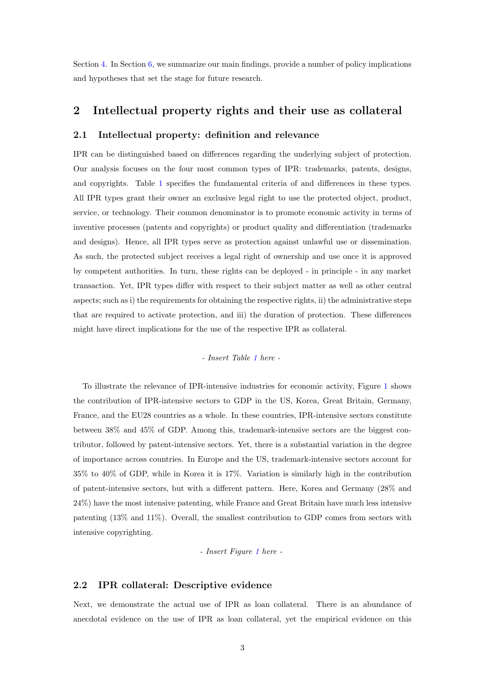Section [4.](#page-8-0) In Section [6,](#page-20-0) we summarize our main findings, provide a number of policy implications and hypotheses that set the stage for future research.

### <span id="page-3-0"></span>2 Intellectual property rights and their use as collateral

### 2.1 Intellectual property: definition and relevance

IPR can be distinguished based on differences regarding the underlying subject of protection. Our analysis focuses on the four most common types of IPR: trademarks, patents, designs, and copyrights. Table [1](#page-25-0) specifies the fundamental criteria of and differences in these types. All IPR types grant their owner an exclusive legal right to use the protected object, product, service, or technology. Their common denominator is to promote economic activity in terms of inventive processes (patents and copyrights) or product quality and differentiation (trademarks and designs). Hence, all IPR types serve as protection against unlawful use or dissemination. As such, the protected subject receives a legal right of ownership and use once it is approved by competent authorities. In turn, these rights can be deployed - in principle - in any market transaction. Yet, IPR types differ with respect to their subject matter as well as other central aspects; such as i) the requirements for obtaining the respective rights, ii) the administrative steps that are required to activate protection, and iii) the duration of protection. These differences might have direct implications for the use of the respective IPR as collateral.

### - Insert Table [1](#page-25-0) here -

To illustrate the relevance of IPR-intensive industries for economic activity, Figure [1](#page-27-0) shows the contribution of IPR-intensive sectors to GDP in the US, Korea, Great Britain, Germany, France, and the EU28 countries as a whole. In these countries, IPR-intensive sectors constitute between 38% and 45% of GDP. Among this, trademark-intensive sectors are the biggest contributor, followed by patent-intensive sectors. Yet, there is a substantial variation in the degree of importance across countries. In Europe and the US, trademark-intensive sectors account for 35% to 40% of GDP, while in Korea it is 17%. Variation is similarly high in the contribution of patent-intensive sectors, but with a different pattern. Here, Korea and Germany (28% and 24%) have the most intensive patenting, while France and Great Britain have much less intensive patenting (13% and 11%). Overall, the smallest contribution to GDP comes from sectors with intensive copyrighting.

### - Insert Figure [1](#page-27-0) here -

### 2.2 IPR collateral: Descriptive evidence

Next, we demonstrate the actual use of IPR as loan collateral. There is an abundance of anecdotal evidence on the use of IPR as loan collateral, yet the empirical evidence on this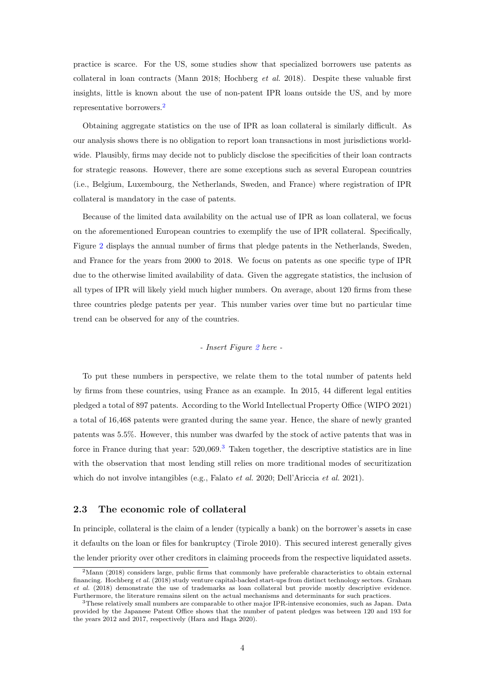practice is scarce. For the US, some studies show that specialized borrowers use patents as collateral in loan contracts [\(Mann](#page-23-0) [2018;](#page-23-0) [Hochberg](#page-23-1) et al. [2018\)](#page-23-1). Despite these valuable first insights, little is known about the use of non-patent IPR loans outside the US, and by more representative borrowers.[2](#page-4-0)

Obtaining aggregate statistics on the use of IPR as loan collateral is similarly difficult. As our analysis shows there is no obligation to report loan transactions in most jurisdictions worldwide. Plausibly, firms may decide not to publicly disclose the specificities of their loan contracts for strategic reasons. However, there are some exceptions such as several European countries (i.e., Belgium, Luxembourg, the Netherlands, Sweden, and France) where registration of IPR collateral is mandatory in the case of patents.

Because of the limited data availability on the actual use of IPR as loan collateral, we focus on the aforementioned European countries to exemplify the use of IPR collateral. Specifically, Figure [2](#page-27-1) displays the annual number of firms that pledge patents in the Netherlands, Sweden, and France for the years from 2000 to 2018. We focus on patents as one specific type of IPR due to the otherwise limited availability of data. Given the aggregate statistics, the inclusion of all types of IPR will likely yield much higher numbers. On average, about 120 firms from these three countries pledge patents per year. This number varies over time but no particular time trend can be observed for any of the countries.

### - Insert Figure [2](#page-27-1) here -

To put these numbers in perspective, we relate them to the total number of patents held by firms from these countries, using France as an example. In 2015, 44 different legal entities pledged a total of 897 patents. According to the World Intellectual Property Office [\(WIPO](#page-24-0) [2021\)](#page-24-0) a total of 16,468 patents were granted during the same year. Hence, the share of newly granted patents was 5.5%. However, this number was dwarfed by the stock of active patents that was in force in France during that year:  $520,069$ .<sup>[3](#page-4-1)</sup> Taken together, the descriptive statistics are in line with the observation that most lending still relies on more traditional modes of securitization which do not involve intangibles (e.g., [Falato](#page-22-2) *et al.* [2020;](#page-22-2) [Dell'Ariccia](#page-22-1) *et al.* [2021\)](#page-22-1).

### 2.3 The economic role of collateral

In principle, collateral is the claim of a lender (typically a bank) on the borrower's assets in case it defaults on the loan or files for bankruptcy [\(Tirole](#page-24-1) [2010\)](#page-24-1). This secured interest generally gives the lender priority over other creditors in claiming proceeds from the respective liquidated assets.

<span id="page-4-0"></span><sup>&</sup>lt;sup>2</sup>[Mann](#page-23-0) [\(2018\)](#page-23-0) considers large, public firms that commonly have preferable characteristics to obtain external financing. [Hochberg](#page-23-1) et al. [\(2018\)](#page-23-1) study venture capital-backed start-ups from distinct technology sectors. [Graham](#page-23-2) [et al.](#page-23-2) [\(2018\)](#page-23-2) demonstrate the use of trademarks as loan collateral but provide mostly descriptive evidence. Furthermore, the literature remains silent on the actual mechanisms and determinants for such practices.

<span id="page-4-1"></span><sup>3</sup>These relatively small numbers are comparable to other major IPR-intensive economies, such as Japan. Data provided by the Japanese Patent Office shows that the number of patent pledges was between 120 and 193 for the years 2012 and 2017, respectively [\(Hara and Haga](#page-23-5) [2020\)](#page-23-5).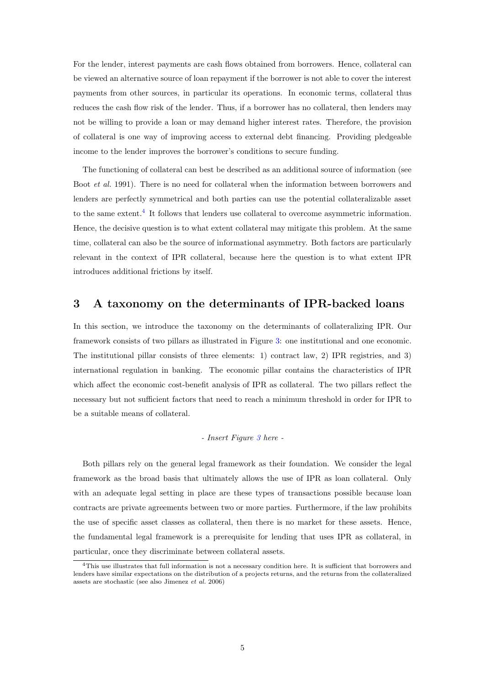For the lender, interest payments are cash flows obtained from borrowers. Hence, collateral can be viewed an alternative source of loan repayment if the borrower is not able to cover the interest payments from other sources, in particular its operations. In economic terms, collateral thus reduces the cash flow risk of the lender. Thus, if a borrower has no collateral, then lenders may not be willing to provide a loan or may demand higher interest rates. Therefore, the provision of collateral is one way of improving access to external debt financing. Providing pledgeable income to the lender improves the borrower's conditions to secure funding.

The functioning of collateral can best be described as an additional source of information (see Boot *[et al.](#page-22-6)* [1991\)](#page-22-6). There is no need for collateral when the information between borrowers and lenders are perfectly symmetrical and both parties can use the potential collateralizable asset to the same extent. $<sup>4</sup>$  $<sup>4</sup>$  $<sup>4</sup>$  It follows that lenders use collateral to overcome asymmetric information.</sup> Hence, the decisive question is to what extent collateral may mitigate this problem. At the same time, collateral can also be the source of informational asymmetry. Both factors are particularly relevant in the context of IPR collateral, because here the question is to what extent IPR introduces additional frictions by itself.

### <span id="page-5-0"></span>3 A taxonomy on the determinants of IPR-backed loans

In this section, we introduce the taxonomy on the determinants of collateralizing IPR. Our framework consists of two pillars as illustrated in Figure [3:](#page-28-0) one institutional and one economic. The institutional pillar consists of three elements: 1) contract law, 2) IPR registries, and 3) international regulation in banking. The economic pillar contains the characteristics of IPR which affect the economic cost-benefit analysis of IPR as collateral. The two pillars reflect the necessary but not sufficient factors that need to reach a minimum threshold in order for IPR to be a suitable means of collateral.

### - Insert Figure [3](#page-28-0) here -

Both pillars rely on the general legal framework as their foundation. We consider the legal framework as the broad basis that ultimately allows the use of IPR as loan collateral. Only with an adequate legal setting in place are these types of transactions possible because loan contracts are private agreements between two or more parties. Furthermore, if the law prohibits the use of specific asset classes as collateral, then there is no market for these assets. Hence, the fundamental legal framework is a prerequisite for lending that uses IPR as collateral, in particular, once they discriminate between collateral assets.

<span id="page-5-1"></span><sup>4</sup>This use illustrates that full information is not a necessary condition here. It is sufficient that borrowers and lenders have similar expectations on the distribution of a projects returns, and the returns from the collateralized assets are stochastic (see also [Jimenez](#page-23-6) et al. [2006\)](#page-23-6)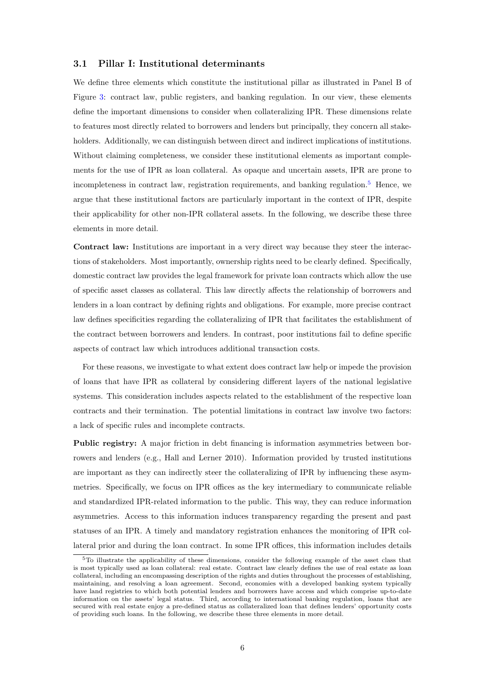### 3.1 Pillar I: Institutional determinants

We define three elements which constitute the institutional pillar as illustrated in Panel B of Figure [3:](#page-28-0) contract law, public registers, and banking regulation. In our view, these elements define the important dimensions to consider when collateralizing IPR. These dimensions relate to features most directly related to borrowers and lenders but principally, they concern all stakeholders. Additionally, we can distinguish between direct and indirect implications of institutions. Without claiming completeness, we consider these institutional elements as important complements for the use of IPR as loan collateral. As opaque and uncertain assets, IPR are prone to incompleteness in contract law, registration requirements, and banking regulation.<sup>[5](#page-6-0)</sup> Hence, we argue that these institutional factors are particularly important in the context of IPR, despite their applicability for other non-IPR collateral assets. In the following, we describe these three elements in more detail.

Contract law: Institutions are important in a very direct way because they steer the interactions of stakeholders. Most importantly, ownership rights need to be clearly defined. Specifically, domestic contract law provides the legal framework for private loan contracts which allow the use of specific asset classes as collateral. This law directly affects the relationship of borrowers and lenders in a loan contract by defining rights and obligations. For example, more precise contract law defines specificities regarding the collateralizing of IPR that facilitates the establishment of the contract between borrowers and lenders. In contrast, poor institutions fail to define specific aspects of contract law which introduces additional transaction costs.

For these reasons, we investigate to what extent does contract law help or impede the provision of loans that have IPR as collateral by considering different layers of the national legislative systems. This consideration includes aspects related to the establishment of the respective loan contracts and their termination. The potential limitations in contract law involve two factors: a lack of specific rules and incomplete contracts.

Public registry: A major friction in debt financing is information asymmetries between borrowers and lenders (e.g., [Hall and Lerner](#page-23-7) [2010\)](#page-23-7). Information provided by trusted institutions are important as they can indirectly steer the collateralizing of IPR by influencing these asymmetries. Specifically, we focus on IPR offices as the key intermediary to communicate reliable and standardized IPR-related information to the public. This way, they can reduce information asymmetries. Access to this information induces transparency regarding the present and past statuses of an IPR. A timely and mandatory registration enhances the monitoring of IPR collateral prior and during the loan contract. In some IPR offices, this information includes details

<span id="page-6-0"></span><sup>5</sup>To illustrate the applicability of these dimensions, consider the following example of the asset class that is most typically used as loan collateral: real estate. Contract law clearly defines the use of real estate as loan collateral, including an encompassing description of the rights and duties throughout the processes of establishing, maintaining, and resolving a loan agreement. Second, economies with a developed banking system typically have land registries to which both potential lenders and borrowers have access and which comprise up-to-date information on the assets' legal status. Third, according to international banking regulation, loans that are secured with real estate enjoy a pre-defined status as collateralized loan that defines lenders' opportunity costs of providing such loans. In the following, we describe these three elements in more detail.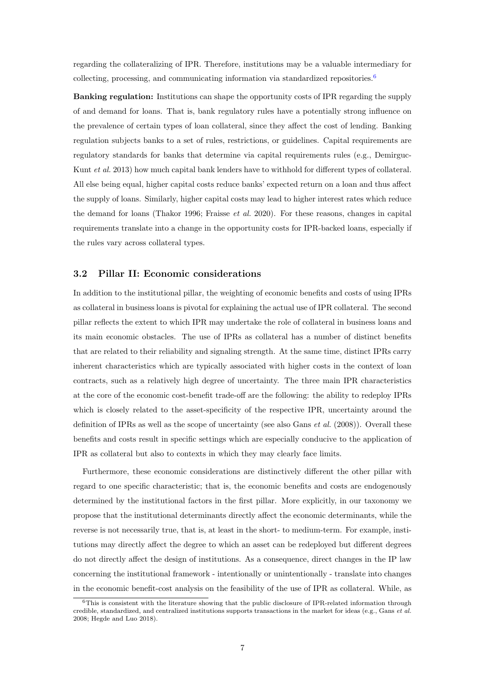regarding the collateralizing of IPR. Therefore, institutions may be a valuable intermediary for collecting, processing, and communicating information via standardized repositories.<sup>[6](#page-7-0)</sup>

Banking regulation: Institutions can shape the opportunity costs of IPR regarding the supply of and demand for loans. That is, bank regulatory rules have a potentially strong influence on the prevalence of certain types of loan collateral, since they affect the cost of lending. Banking regulation subjects banks to a set of rules, restrictions, or guidelines. Capital requirements are regulatory standards for banks that determine via capital requirements rules (e.g., [Demirguc-](#page-22-7)[Kunt](#page-22-7) et al. [2013\)](#page-22-7) how much capital bank lenders have to withhold for different types of collateral. All else being equal, higher capital costs reduce banks' expected return on a loan and thus affect the supply of loans. Similarly, higher capital costs may lead to higher interest rates which reduce the demand for loans [\(Thakor](#page-24-2) [1996;](#page-24-2) [Fraisse](#page-22-8) et al. [2020\)](#page-22-8). For these reasons, changes in capital requirements translate into a change in the opportunity costs for IPR-backed loans, especially if the rules vary across collateral types.

### 3.2 Pillar II: Economic considerations

In addition to the institutional pillar, the weighting of economic benefits and costs of using IPRs as collateral in business loans is pivotal for explaining the actual use of IPR collateral. The second pillar reflects the extent to which IPR may undertake the role of collateral in business loans and its main economic obstacles. The use of IPRs as collateral has a number of distinct benefits that are related to their reliability and signaling strength. At the same time, distinct IPRs carry inherent characteristics which are typically associated with higher costs in the context of loan contracts, such as a relatively high degree of uncertainty. The three main IPR characteristics at the core of the economic cost-benefit trade-off are the following: the ability to redeploy IPRs which is closely related to the asset-specificity of the respective IPR, uncertainty around the definition of IPRs as well as the scope of uncertainty (see also [Gans](#page-22-9) *et al.* [\(2008\)](#page-22-9)). Overall these benefits and costs result in specific settings which are especially conducive to the application of IPR as collateral but also to contexts in which they may clearly face limits.

Furthermore, these economic considerations are distinctively different the other pillar with regard to one specific characteristic; that is, the economic benefits and costs are endogenously determined by the institutional factors in the first pillar. More explicitly, in our taxonomy we propose that the institutional determinants directly affect the economic determinants, while the reverse is not necessarily true, that is, at least in the short- to medium-term. For example, institutions may directly affect the degree to which an asset can be redeployed but different degrees do not directly affect the design of institutions. As a consequence, direct changes in the IP law concerning the institutional framework - intentionally or unintentionally - translate into changes in the economic benefit-cost analysis on the feasibility of the use of IPR as collateral. While, as

<span id="page-7-0"></span> $6$ This is consistent with the literature showing that the public disclosure of IPR-related information through credible, standardized, and centralized institutions supports transactions in the market for ideas (e.g., [Gans](#page-22-9)  $et$  al. [2008;](#page-22-9) [Hegde and Luo](#page-23-8) [2018\)](#page-23-8).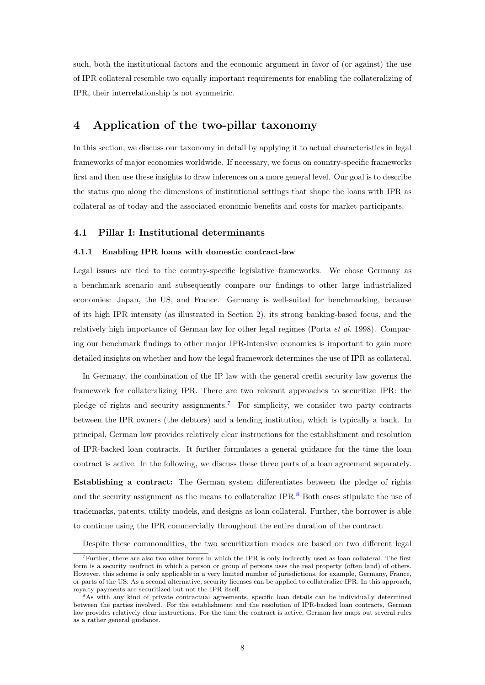such, both the institutional factors and the economic argument in favor of (or against) the use of IPR collateral resemble two equally important requirements for enabling the collateralizing of IPR, their interrelationship is not symmetric.

## <span id="page-8-0"></span>4 Application of the two-pillar taxonomy

In this section, we discuss our taxonomy in detail by applying it to actual characteristics in legal frameworks of major economies worldwide. If necessary, we focus on country-specific frameworks first and then use these insights to draw inferences on a more general level. Our goal is to describe the status quo along the dimensions of institutional settings that shape the loans with IPR as collateral as of today and the associated economic benefits and costs for market participants.

### 4.1 Pillar I: Institutional determinants

#### 4.1.1 Enabling IPR loans with domestic contract-law

Legal issues are tied to the country-specific legislative frameworks. We chose Germany as a benchmark scenario and subsequently compare our findings to other large industrialized economies: Japan, the US, and France. Germany is well-suited for benchmarking, because of its high IPR intensity (as illustrated in Section [2\)](#page-3-0), its strong banking-based focus, and the relatively high importance of German law for other legal regimes [\(Porta](#page-24-3) et al. [1998\)](#page-24-3). Comparing our benchmark findings to other major IPR-intensive economies is important to gain more detailed insights on whether and how the legal framework determines the use of IPR as collateral.

In Germany, the combination of the IP law with the general credit security law governs the framework for collateralizing IPR. There are two relevant approaches to securitize IPR: the pledge of rights and security assignments.[7](#page-8-1) For simplicity, we consider two party contracts between the IPR owners (the debtors) and a lending institution, which is typically a bank. In principal, German law provides relatively clear instructions for the establishment and resolution of IPR-backed loan contracts. It further formulates a general guidance for the time the loan contract is active. In the following, we discuss these three parts of a loan agreement separately.

Establishing a contract: The German system differentiates between the pledge of rights and the security assignment as the means to collateralize  $IPR<sub>1</sub><sup>8</sup>$  $IPR<sub>1</sub><sup>8</sup>$  $IPR<sub>1</sub><sup>8</sup>$  Both cases stipulate the use of trademarks, patents, utility models, and designs as loan collateral. Further, the borrower is able to continue using the IPR commercially throughout the entire duration of the contract.

Despite these commonalities, the two securitization modes are based on two different legal

<span id="page-8-1"></span><sup>7</sup>Further, there are also two other forms in which the IPR is only indirectly used as loan collateral. The first form is a security usufruct in which a person or group of persons uses the real property (often land) of others. However, this scheme is only applicable in a very limited number of jurisdictions, for example, Germany, France, or parts of the US. As a second alternative, security licenses can be applied to collateralize IPR. In this approach, royalty payments are securitized but not the IPR itself.

<span id="page-8-2"></span><sup>8</sup>As with any kind of private contractual agreements, specific loan details can be individually determined between the parties involved. For the establishment and the resolution of IPR-backed loan contracts, German law provides relatively clear instructions. For the time the contract is active, German law maps out several rules as a rather general guidance.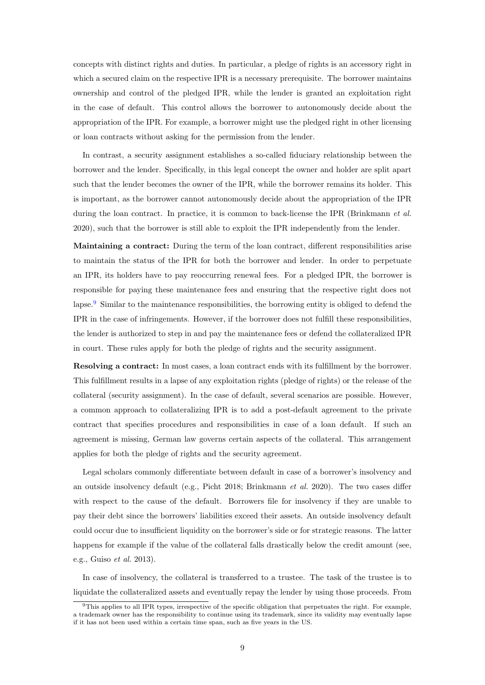concepts with distinct rights and duties. In particular, a pledge of rights is an accessory right in which a secured claim on the respective IPR is a necessary prerequisite. The borrower maintains ownership and control of the pledged IPR, while the lender is granted an exploitation right in the case of default. This control allows the borrower to autonomously decide about the appropriation of the IPR. For example, a borrower might use the pledged right in other licensing or loan contracts without asking for the permission from the lender.

In contrast, a security assignment establishes a so-called fiduciary relationship between the borrower and the lender. Specifically, in this legal concept the owner and holder are split apart such that the lender becomes the owner of the IPR, while the borrower remains its holder. This is important, as the borrower cannot autonomously decide about the appropriation of the IPR during the loan contract. In practice, it is common to back-license the IPR [\(Brinkmann](#page-22-10) *et al.*) [2020\)](#page-22-10), such that the borrower is still able to exploit the IPR independently from the lender.

Maintaining a contract: During the term of the loan contract, different responsibilities arise to maintain the status of the IPR for both the borrower and lender. In order to perpetuate an IPR, its holders have to pay reoccurring renewal fees. For a pledged IPR, the borrower is responsible for paying these maintenance fees and ensuring that the respective right does not lapse.<sup>[9](#page-9-0)</sup> Similar to the maintenance responsibilities, the borrowing entity is obliged to defend the IPR in the case of infringements. However, if the borrower does not fulfill these responsibilities, the lender is authorized to step in and pay the maintenance fees or defend the collateralized IPR in court. These rules apply for both the pledge of rights and the security assignment.

Resolving a contract: In most cases, a loan contract ends with its fulfillment by the borrower. This fulfillment results in a lapse of any exploitation rights (pledge of rights) or the release of the collateral (security assignment). In the case of default, several scenarios are possible. However, a common approach to collateralizing IPR is to add a post-default agreement to the private contract that specifies procedures and responsibilities in case of a loan default. If such an agreement is missing, German law governs certain aspects of the collateral. This arrangement applies for both the pledge of rights and the security agreement.

Legal scholars commonly differentiate between default in case of a borrower's insolvency and an outside insolvency default (e.g., [Picht](#page-23-9) [2018;](#page-23-9) [Brinkmann](#page-22-10) et al. [2020\)](#page-22-10). The two cases differ with respect to the cause of the default. Borrowers file for insolvency if they are unable to pay their debt since the borrowers' liabilities exceed their assets. An outside insolvency default could occur due to insufficient liquidity on the borrower's side or for strategic reasons. The latter happens for example if the value of the collateral falls drastically below the credit amount (see, e.g., [Guiso](#page-23-10) et al. [2013\)](#page-23-10).

In case of insolvency, the collateral is transferred to a trustee. The task of the trustee is to liquidate the collateralized assets and eventually repay the lender by using those proceeds. From

<span id="page-9-0"></span><sup>&</sup>lt;sup>9</sup>This applies to all IPR types, irrespective of the specific obligation that perpetuates the right. For example, a trademark owner has the responsibility to continue using its trademark, since its validity may eventually lapse if it has not been used within a certain time span, such as five years in the US.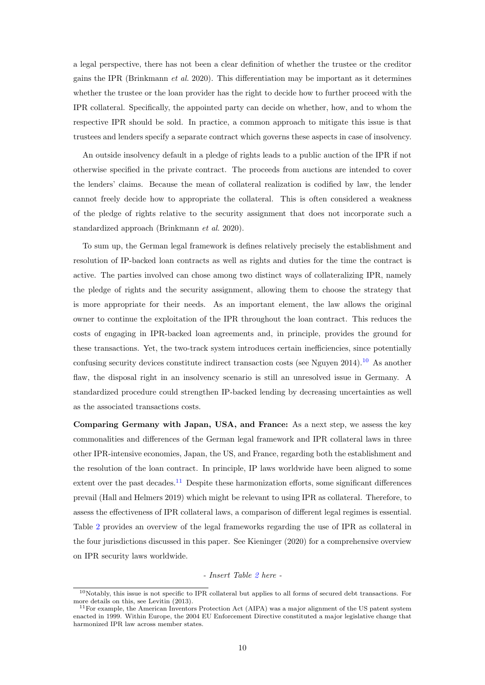a legal perspective, there has not been a clear definition of whether the trustee or the creditor gains the IPR [\(Brinkmann](#page-22-10) *et al.* [2020\)](#page-22-10). This differentiation may be important as it determines whether the trustee or the loan provider has the right to decide how to further proceed with the IPR collateral. Specifically, the appointed party can decide on whether, how, and to whom the respective IPR should be sold. In practice, a common approach to mitigate this issue is that trustees and lenders specify a separate contract which governs these aspects in case of insolvency.

An outside insolvency default in a pledge of rights leads to a public auction of the IPR if not otherwise specified in the private contract. The proceeds from auctions are intended to cover the lenders' claims. Because the mean of collateral realization is codified by law, the lender cannot freely decide how to appropriate the collateral. This is often considered a weakness of the pledge of rights relative to the security assignment that does not incorporate such a standardized approach [\(Brinkmann](#page-22-10) et al. [2020\)](#page-22-10).

To sum up, the German legal framework is defines relatively precisely the establishment and resolution of IP-backed loan contracts as well as rights and duties for the time the contract is active. The parties involved can chose among two distinct ways of collateralizing IPR, namely the pledge of rights and the security assignment, allowing them to choose the strategy that is more appropriate for their needs. As an important element, the law allows the original owner to continue the exploitation of the IPR throughout the loan contract. This reduces the costs of engaging in IPR-backed loan agreements and, in principle, provides the ground for these transactions. Yet, the two-track system introduces certain inefficiencies, since potentially confusing security devices constitute indirect transaction costs (see [Nguyen](#page-23-11) [2014\)](#page-23-11).<sup>[10](#page-10-0)</sup> As another flaw, the disposal right in an insolvency scenario is still an unresolved issue in Germany. A standardized procedure could strengthen IP-backed lending by decreasing uncertainties as well as the associated transactions costs.

Comparing Germany with Japan, USA, and France: As a next step, we assess the key commonalities and differences of the German legal framework and IPR collateral laws in three other IPR-intensive economies, Japan, the US, and France, regarding both the establishment and the resolution of the loan contract. In principle, IP laws worldwide have been aligned to some extent over the past decades.<sup>[11](#page-10-1)</sup> Despite these harmonization efforts, some significant differences prevail [\(Hall and Helmers](#page-23-12) [2019\)](#page-23-12) which might be relevant to using IPR as collateral. Therefore, to assess the effectiveness of IPR collateral laws, a comparison of different legal regimes is essential. Table [2](#page-26-0) provides an overview of the legal frameworks regarding the use of IPR as collateral in the four jurisdictions discussed in this paper. See [Kieninger](#page-23-3) [\(2020\)](#page-23-3) for a comprehensive overview on IPR security laws worldwide.

#### - Insert Table [2](#page-26-0) here -

<span id="page-10-0"></span> $10$ Notably, this issue is not specific to IPR collateral but applies to all forms of secured debt transactions. For more details on this, see [Levitin](#page-23-13) [\(2013\)](#page-23-13).

<span id="page-10-1"></span><sup>&</sup>lt;sup>11</sup>For example, the American Inventors Protection Act (AIPA) was a major alignment of the US patent system enacted in 1999. Within Europe, the 2004 EU Enforcement Directive constituted a major legislative change that harmonized IPR law across member states.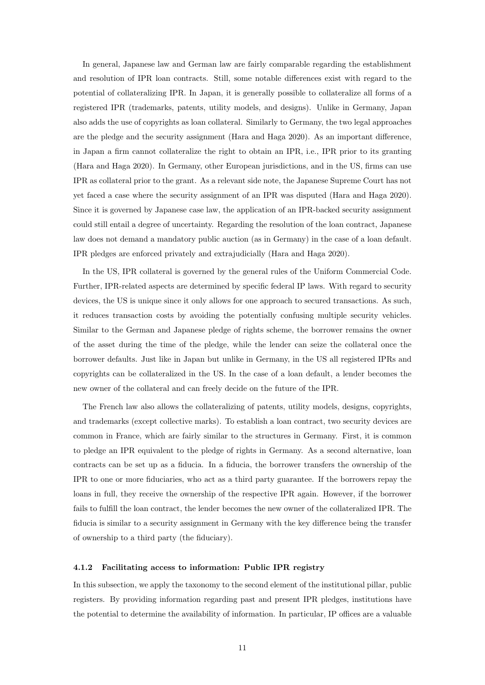In general, Japanese law and German law are fairly comparable regarding the establishment and resolution of IPR loan contracts. Still, some notable differences exist with regard to the potential of collateralizing IPR. In Japan, it is generally possible to collateralize all forms of a registered IPR (trademarks, patents, utility models, and designs). Unlike in Germany, Japan also adds the use of copyrights as loan collateral. Similarly to Germany, the two legal approaches are the pledge and the security assignment [\(Hara and Haga](#page-23-5) [2020\)](#page-23-5). As an important difference, in Japan a firm cannot collateralize the right to obtain an IPR, i.e., IPR prior to its granting [\(Hara and Haga](#page-23-5) [2020\)](#page-23-5). In Germany, other European jurisdictions, and in the US, firms can use IPR as collateral prior to the grant. As a relevant side note, the Japanese Supreme Court has not yet faced a case where the security assignment of an IPR was disputed [\(Hara and Haga](#page-23-5) [2020\)](#page-23-5). Since it is governed by Japanese case law, the application of an IPR-backed security assignment could still entail a degree of uncertainty. Regarding the resolution of the loan contract, Japanese law does not demand a mandatory public auction (as in Germany) in the case of a loan default. IPR pledges are enforced privately and extrajudicially [\(Hara and Haga](#page-23-5) [2020\)](#page-23-5).

In the US, IPR collateral is governed by the general rules of the Uniform Commercial Code. Further, IPR-related aspects are determined by specific federal IP laws. With regard to security devices, the US is unique since it only allows for one approach to secured transactions. As such, it reduces transaction costs by avoiding the potentially confusing multiple security vehicles. Similar to the German and Japanese pledge of rights scheme, the borrower remains the owner of the asset during the time of the pledge, while the lender can seize the collateral once the borrower defaults. Just like in Japan but unlike in Germany, in the US all registered IPRs and copyrights can be collateralized in the US. In the case of a loan default, a lender becomes the new owner of the collateral and can freely decide on the future of the IPR.

The French law also allows the collateralizing of patents, utility models, designs, copyrights, and trademarks (except collective marks). To establish a loan contract, two security devices are common in France, which are fairly similar to the structures in Germany. First, it is common to pledge an IPR equivalent to the pledge of rights in Germany. As a second alternative, loan contracts can be set up as a fiducia. In a fiducia, the borrower transfers the ownership of the IPR to one or more fiduciaries, who act as a third party guarantee. If the borrowers repay the loans in full, they receive the ownership of the respective IPR again. However, if the borrower fails to fulfill the loan contract, the lender becomes the new owner of the collateralized IPR. The fiducia is similar to a security assignment in Germany with the key difference being the transfer of ownership to a third party (the fiduciary).

#### 4.1.2 Facilitating access to information: Public IPR registry

In this subsection, we apply the taxonomy to the second element of the institutional pillar, public registers. By providing information regarding past and present IPR pledges, institutions have the potential to determine the availability of information. In particular, IP offices are a valuable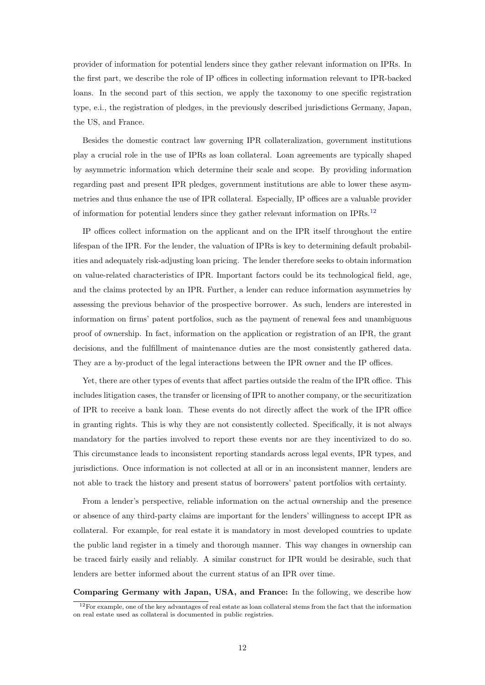provider of information for potential lenders since they gather relevant information on IPRs. In the first part, we describe the role of IP offices in collecting information relevant to IPR-backed loans. In the second part of this section, we apply the taxonomy to one specific registration type, e.i., the registration of pledges, in the previously described jurisdictions Germany, Japan, the US, and France.

Besides the domestic contract law governing IPR collateralization, government institutions play a crucial role in the use of IPRs as loan collateral. Loan agreements are typically shaped by asymmetric information which determine their scale and scope. By providing information regarding past and present IPR pledges, government institutions are able to lower these asymmetries and thus enhance the use of IPR collateral. Especially, IP offices are a valuable provider of information for potential lenders since they gather relevant information on IPRs.[12](#page-12-0)

IP offices collect information on the applicant and on the IPR itself throughout the entire lifespan of the IPR. For the lender, the valuation of IPRs is key to determining default probabilities and adequately risk-adjusting loan pricing. The lender therefore seeks to obtain information on value-related characteristics of IPR. Important factors could be its technological field, age, and the claims protected by an IPR. Further, a lender can reduce information asymmetries by assessing the previous behavior of the prospective borrower. As such, lenders are interested in information on firms' patent portfolios, such as the payment of renewal fees and unambiguous proof of ownership. In fact, information on the application or registration of an IPR, the grant decisions, and the fulfillment of maintenance duties are the most consistently gathered data. They are a by-product of the legal interactions between the IPR owner and the IP offices.

Yet, there are other types of events that affect parties outside the realm of the IPR office. This includes litigation cases, the transfer or licensing of IPR to another company, or the securitization of IPR to receive a bank loan. These events do not directly affect the work of the IPR office in granting rights. This is why they are not consistently collected. Specifically, it is not always mandatory for the parties involved to report these events nor are they incentivized to do so. This circumstance leads to inconsistent reporting standards across legal events, IPR types, and jurisdictions. Once information is not collected at all or in an inconsistent manner, lenders are not able to track the history and present status of borrowers' patent portfolios with certainty.

From a lender's perspective, reliable information on the actual ownership and the presence or absence of any third-party claims are important for the lenders' willingness to accept IPR as collateral. For example, for real estate it is mandatory in most developed countries to update the public land register in a timely and thorough manner. This way changes in ownership can be traced fairly easily and reliably. A similar construct for IPR would be desirable, such that lenders are better informed about the current status of an IPR over time.

Comparing Germany with Japan, USA, and France: In the following, we describe how

<span id="page-12-0"></span><sup>&</sup>lt;sup>12</sup>For example, one of the key advantages of real estate as loan collateral stems from the fact that the information on real estate used as collateral is documented in public registries.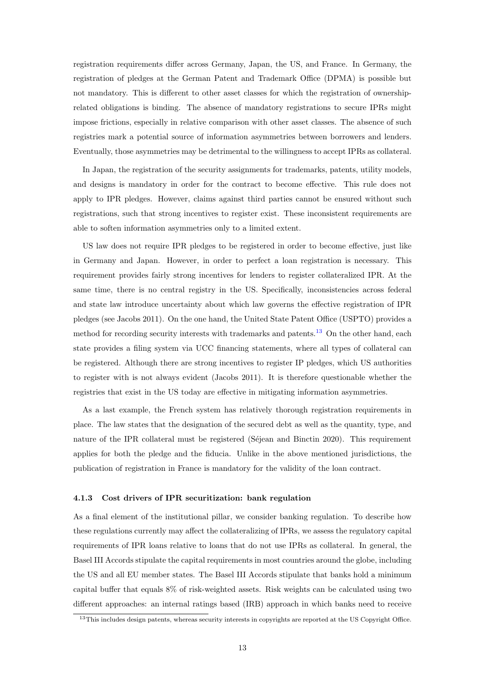registration requirements differ across Germany, Japan, the US, and France. In Germany, the registration of pledges at the German Patent and Trademark Office (DPMA) is possible but not mandatory. This is different to other asset classes for which the registration of ownershiprelated obligations is binding. The absence of mandatory registrations to secure IPRs might impose frictions, especially in relative comparison with other asset classes. The absence of such registries mark a potential source of information asymmetries between borrowers and lenders. Eventually, those asymmetries may be detrimental to the willingness to accept IPRs as collateral.

In Japan, the registration of the security assignments for trademarks, patents, utility models, and designs is mandatory in order for the contract to become effective. This rule does not apply to IPR pledges. However, claims against third parties cannot be ensured without such registrations, such that strong incentives to register exist. These inconsistent requirements are able to soften information asymmetries only to a limited extent.

US law does not require IPR pledges to be registered in order to become effective, just like in Germany and Japan. However, in order to perfect a loan registration is necessary. This requirement provides fairly strong incentives for lenders to register collateralized IPR. At the same time, there is no central registry in the US. Specifically, inconsistencies across federal and state law introduce uncertainty about which law governs the effective registration of IPR pledges (see [Jacobs](#page-23-14) [2011\)](#page-23-14). On the one hand, the United State Patent Office (USPTO) provides a method for recording security interests with trademarks and patents.<sup>[13](#page-13-0)</sup> On the other hand, each state provides a filing system via UCC financing statements, where all types of collateral can be registered. Although there are strong incentives to register IP pledges, which US authorities to register with is not always evident [\(Jacobs](#page-23-14) [2011\)](#page-23-14). It is therefore questionable whether the registries that exist in the US today are effective in mitigating information asymmetries.

As a last example, the French system has relatively thorough registration requirements in place. The law states that the designation of the secured debt as well as the quantity, type, and nature of the IPR collateral must be registered (Séjean and Binctin [2020\)](#page-24-4). This requirement applies for both the pledge and the fiducia. Unlike in the above mentioned jurisdictions, the publication of registration in France is mandatory for the validity of the loan contract.

#### 4.1.3 Cost drivers of IPR securitization: bank regulation

As a final element of the institutional pillar, we consider banking regulation. To describe how these regulations currently may affect the collateralizing of IPRs, we assess the regulatory capital requirements of IPR loans relative to loans that do not use IPRs as collateral. In general, the Basel III Accords stipulate the capital requirements in most countries around the globe, including the US and all EU member states. The Basel III Accords stipulate that banks hold a minimum capital buffer that equals 8% of risk-weighted assets. Risk weights can be calculated using two different approaches: an internal ratings based (IRB) approach in which banks need to receive

<span id="page-13-0"></span> $13$ This includes design patents, whereas security interests in copyrights are reported at the US Copyright Office.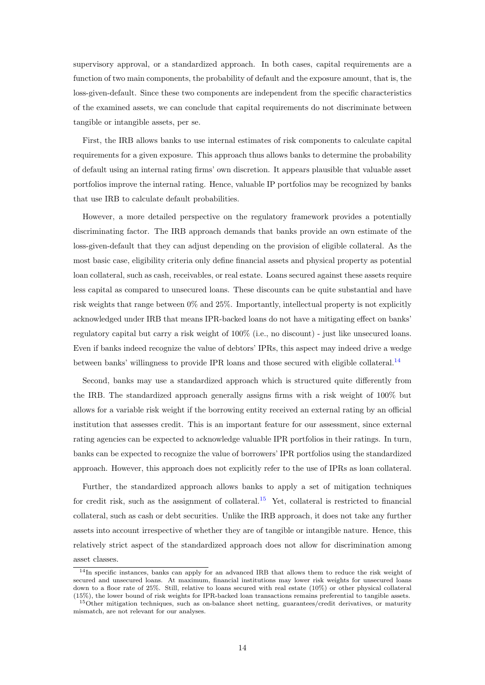supervisory approval, or a standardized approach. In both cases, capital requirements are a function of two main components, the probability of default and the exposure amount, that is, the loss-given-default. Since these two components are independent from the specific characteristics of the examined assets, we can conclude that capital requirements do not discriminate between tangible or intangible assets, per se.

First, the IRB allows banks to use internal estimates of risk components to calculate capital requirements for a given exposure. This approach thus allows banks to determine the probability of default using an internal rating firms' own discretion. It appears plausible that valuable asset portfolios improve the internal rating. Hence, valuable IP portfolios may be recognized by banks that use IRB to calculate default probabilities.

However, a more detailed perspective on the regulatory framework provides a potentially discriminating factor. The IRB approach demands that banks provide an own estimate of the loss-given-default that they can adjust depending on the provision of eligible collateral. As the most basic case, eligibility criteria only define financial assets and physical property as potential loan collateral, such as cash, receivables, or real estate. Loans secured against these assets require less capital as compared to unsecured loans. These discounts can be quite substantial and have risk weights that range between 0% and 25%. Importantly, intellectual property is not explicitly acknowledged under IRB that means IPR-backed loans do not have a mitigating effect on banks' regulatory capital but carry a risk weight of 100% (i.e., no discount) - just like unsecured loans. Even if banks indeed recognize the value of debtors' IPRs, this aspect may indeed drive a wedge between banks' willingness to provide IPR loans and those secured with eligible collateral.[14](#page-14-0)

Second, banks may use a standardized approach which is structured quite differently from the IRB. The standardized approach generally assigns firms with a risk weight of 100% but allows for a variable risk weight if the borrowing entity received an external rating by an official institution that assesses credit. This is an important feature for our assessment, since external rating agencies can be expected to acknowledge valuable IPR portfolios in their ratings. In turn, banks can be expected to recognize the value of borrowers' IPR portfolios using the standardized approach. However, this approach does not explicitly refer to the use of IPRs as loan collateral.

Further, the standardized approach allows banks to apply a set of mitigation techniques for credit risk, such as the assignment of collateral.<sup>[15](#page-14-1)</sup> Yet, collateral is restricted to financial collateral, such as cash or debt securities. Unlike the IRB approach, it does not take any further assets into account irrespective of whether they are of tangible or intangible nature. Hence, this relatively strict aspect of the standardized approach does not allow for discrimination among

asset classes.

<span id="page-14-0"></span><sup>&</sup>lt;sup>14</sup>In specific instances, banks can apply for an advanced IRB that allows them to reduce the risk weight of secured and unsecured loans. At maximum, financial institutions may lower risk weights for unsecured loans down to a floor rate of 25%. Still, relative to loans secured with real estate (10%) or other physical collateral (15%), the lower bound of risk weights for IPR-backed loan transactions remains preferential to tangible assets.

<span id="page-14-1"></span><sup>15</sup>Other mitigation techniques, such as on-balance sheet netting, guarantees/credit derivatives, or maturity mismatch, are not relevant for our analyses.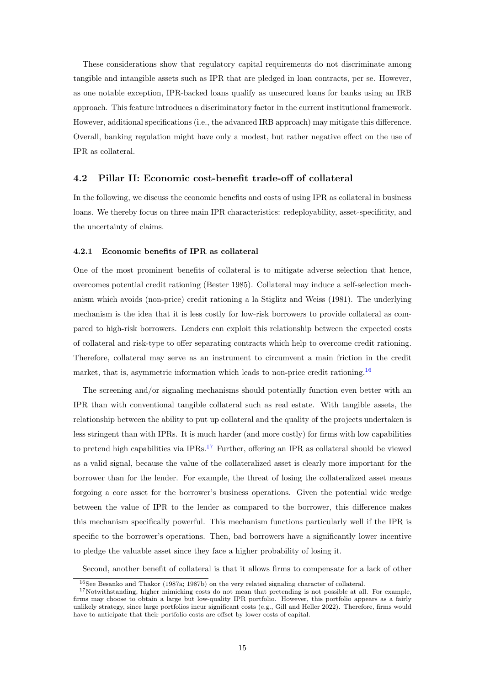These considerations show that regulatory capital requirements do not discriminate among tangible and intangible assets such as IPR that are pledged in loan contracts, per se. However, as one notable exception, IPR-backed loans qualify as unsecured loans for banks using an IRB approach. This feature introduces a discriminatory factor in the current institutional framework. However, additional specifications (i.e., the advanced IRB approach) may mitigate this difference. Overall, banking regulation might have only a modest, but rather negative effect on the use of IPR as collateral.

### 4.2 Pillar II: Economic cost-benefit trade-off of collateral

In the following, we discuss the economic benefits and costs of using IPR as collateral in business loans. We thereby focus on three main IPR characteristics: redeployability, asset-specificity, and the uncertainty of claims.

#### 4.2.1 Economic benefits of IPR as collateral

One of the most prominent benefits of collateral is to mitigate adverse selection that hence, overcomes potential credit rationing [\(Bester](#page-22-11) [1985\)](#page-22-11). Collateral may induce a self-selection mechanism which avoids (non-price) credit rationing a la [Stiglitz and Weiss](#page-24-5) [\(1981\)](#page-24-5). The underlying mechanism is the idea that it is less costly for low-risk borrowers to provide collateral as compared to high-risk borrowers. Lenders can exploit this relationship between the expected costs of collateral and risk-type to offer separating contracts which help to overcome credit rationing. Therefore, collateral may serve as an instrument to circumvent a main friction in the credit market, that is, asymmetric information which leads to non-price credit rationing.<sup>[16](#page-15-0)</sup>

The screening and/or signaling mechanisms should potentially function even better with an IPR than with conventional tangible collateral such as real estate. With tangible assets, the relationship between the ability to put up collateral and the quality of the projects undertaken is less stringent than with IPRs. It is much harder (and more costly) for firms with low capabilities to pretend high capabilities via IPRs.[17](#page-15-1) Further, offering an IPR as collateral should be viewed as a valid signal, because the value of the collateralized asset is clearly more important for the borrower than for the lender. For example, the threat of losing the collateralized asset means forgoing a core asset for the borrower's business operations. Given the potential wide wedge between the value of IPR to the lender as compared to the borrower, this difference makes this mechanism specifically powerful. This mechanism functions particularly well if the IPR is specific to the borrower's operations. Then, bad borrowers have a significantly lower incentive to pledge the valuable asset since they face a higher probability of losing it.

Second, another benefit of collateral is that it allows firms to compensate for a lack of other

<span id="page-15-1"></span><span id="page-15-0"></span><sup>&</sup>lt;sup>16</sup>See [Besanko and Thakor](#page-22-12) [\(1987a;](#page-22-12) [1987b\)](#page-22-13) on the very related signaling character of collateral.

 $17$ Notwithstanding, higher mimicking costs do not mean that pretending is not possible at all. For example, firms may choose to obtain a large but low-quality IPR portfolio. However, this portfolio appears as a fairly unlikely strategy, since large portfolios incur significant costs (e.g., [Gill and Heller](#page-22-14) [2022\)](#page-22-14). Therefore, firms would have to anticipate that their portfolio costs are offset by lower costs of capital.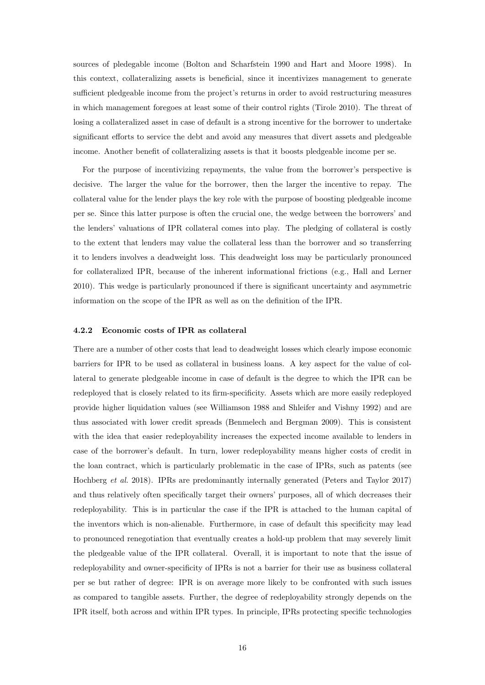sources of pledegable income [\(Bolton and Scharfstein](#page-22-15) [1990](#page-22-15) and [Hart and Moore](#page-23-15) [1998\)](#page-23-15). In this context, collateralizing assets is beneficial, since it incentivizes management to generate sufficient pledgeable income from the project's returns in order to avoid restructuring measures in which management foregoes at least some of their control rights [\(Tirole](#page-24-1) [2010\)](#page-24-1). The threat of losing a collateralized asset in case of default is a strong incentive for the borrower to undertake significant efforts to service the debt and avoid any measures that divert assets and pledgeable income. Another benefit of collateralizing assets is that it boosts pledgeable income per se.

For the purpose of incentivizing repayments, the value from the borrower's perspective is decisive. The larger the value for the borrower, then the larger the incentive to repay. The collateral value for the lender plays the key role with the purpose of boosting pledgeable income per se. Since this latter purpose is often the crucial one, the wedge between the borrowers' and the lenders' valuations of IPR collateral comes into play. The pledging of collateral is costly to the extent that lenders may value the collateral less than the borrower and so transferring it to lenders involves a deadweight loss. This deadweight loss may be particularly pronounced for collateralized IPR, because of the inherent informational frictions (e.g., [Hall and Lerner](#page-23-7) [2010\)](#page-23-7). This wedge is particularly pronounced if there is significant uncertainty and asymmetric information on the scope of the IPR as well as on the definition of the IPR.

#### 4.2.2 Economic costs of IPR as collateral

There are a number of other costs that lead to deadweight losses which clearly impose economic barriers for IPR to be used as collateral in business loans. A key aspect for the value of collateral to generate pledgeable income in case of default is the degree to which the IPR can be redeployed that is closely related to its firm-specificity. Assets which are more easily redeployed provide higher liquidation values (see [Williamson](#page-24-6) [1988](#page-24-6) and [Shleifer and Vishny](#page-24-7) [1992\)](#page-24-7) and are thus associated with lower credit spreads [\(Benmelech and Bergman](#page-22-16) [2009\)](#page-22-16). This is consistent with the idea that easier redeployability increases the expected income available to lenders in case of the borrower's default. In turn, lower redeployability means higher costs of credit in the loan contract, which is particularly problematic in the case of IPRs, such as patents (see [Hochberg](#page-23-1) et al. [2018\)](#page-23-1). IPRs are predominantly internally generated [\(Peters and Taylor](#page-23-16) [2017\)](#page-23-16) and thus relatively often specifically target their owners' purposes, all of which decreases their redeployability. This is in particular the case if the IPR is attached to the human capital of the inventors which is non-alienable. Furthermore, in case of default this specificity may lead to pronounced renegotiation that eventually creates a hold-up problem that may severely limit the pledgeable value of the IPR collateral. Overall, it is important to note that the issue of redeployability and owner-specificity of IPRs is not a barrier for their use as business collateral per se but rather of degree: IPR is on average more likely to be confronted with such issues as compared to tangible assets. Further, the degree of redeployability strongly depends on the IPR itself, both across and within IPR types. In principle, IPRs protecting specific technologies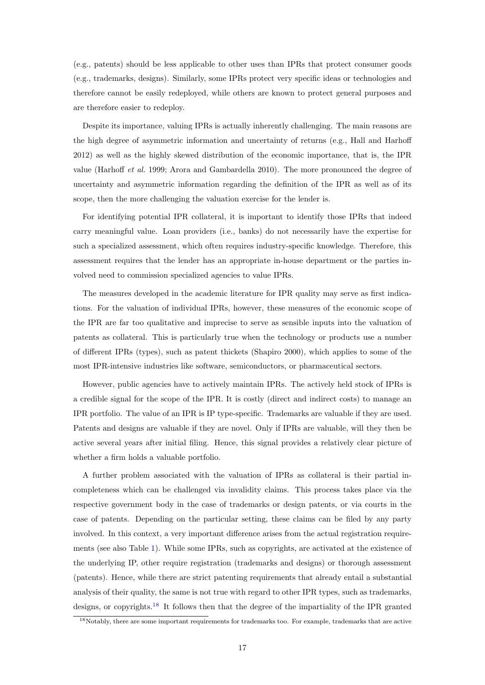(e.g., patents) should be less applicable to other uses than IPRs that protect consumer goods (e.g., trademarks, designs). Similarly, some IPRs protect very specific ideas or technologies and therefore cannot be easily redeployed, while others are known to protect general purposes and are therefore easier to redeploy.

Despite its importance, valuing IPRs is actually inherently challenging. The main reasons are the high degree of asymmetric information and uncertainty of returns (e.g., [Hall and Harhoff](#page-23-17) [2012\)](#page-23-17) as well as the highly skewed distribution of the economic importance, that is, the IPR value [\(Harhoff](#page-23-18) et al. [1999;](#page-23-18) [Arora and Gambardella](#page-22-17) [2010\)](#page-22-17). The more pronounced the degree of uncertainty and asymmetric information regarding the definition of the IPR as well as of its scope, then the more challenging the valuation exercise for the lender is.

For identifying potential IPR collateral, it is important to identify those IPRs that indeed carry meaningful value. Loan providers (i.e., banks) do not necessarily have the expertise for such a specialized assessment, which often requires industry-specific knowledge. Therefore, this assessment requires that the lender has an appropriate in-house department or the parties involved need to commission specialized agencies to value IPRs.

The measures developed in the academic literature for IPR quality may serve as first indications. For the valuation of individual IPRs, however, these measures of the economic scope of the IPR are far too qualitative and imprecise to serve as sensible inputs into the valuation of patents as collateral. This is particularly true when the technology or products use a number of different IPRs (types), such as patent thickets [\(Shapiro](#page-24-8) [2000\)](#page-24-8), which applies to some of the most IPR-intensive industries like software, semiconductors, or pharmaceutical sectors.

However, public agencies have to actively maintain IPRs. The actively held stock of IPRs is a credible signal for the scope of the IPR. It is costly (direct and indirect costs) to manage an IPR portfolio. The value of an IPR is IP type-specific. Trademarks are valuable if they are used. Patents and designs are valuable if they are novel. Only if IPRs are valuable, will they then be active several years after initial filing. Hence, this signal provides a relatively clear picture of whether a firm holds a valuable portfolio.

A further problem associated with the valuation of IPRs as collateral is their partial incompleteness which can be challenged via invalidity claims. This process takes place via the respective government body in the case of trademarks or design patents, or via courts in the case of patents. Depending on the particular setting, these claims can be filed by any party involved. In this context, a very important difference arises from the actual registration requirements (see also Table [1\)](#page-25-0). While some IPRs, such as copyrights, are activated at the existence of the underlying IP, other require registration (trademarks and designs) or thorough assessment (patents). Hence, while there are strict patenting requirements that already entail a substantial analysis of their quality, the same is not true with regard to other IPR types, such as trademarks, designs, or copyrights.[18](#page-17-0) It follows then that the degree of the impartiality of the IPR granted

<span id="page-17-0"></span><sup>18</sup>Notably, there are some important requirements for trademarks too. For example, trademarks that are active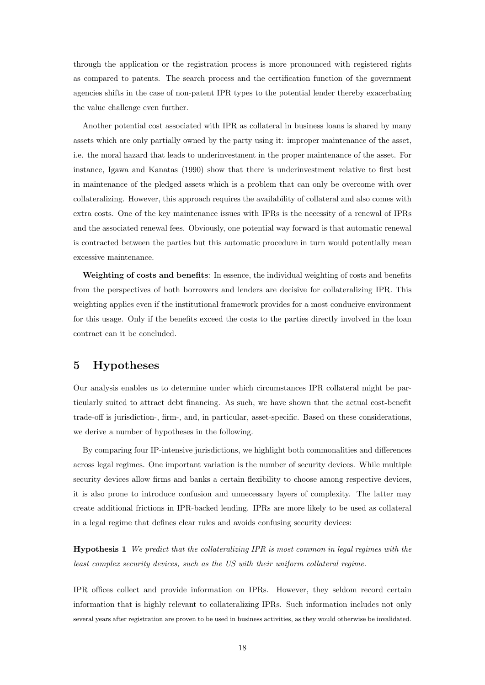through the application or the registration process is more pronounced with registered rights as compared to patents. The search process and the certification function of the government agencies shifts in the case of non-patent IPR types to the potential lender thereby exacerbating the value challenge even further.

Another potential cost associated with IPR as collateral in business loans is shared by many assets which are only partially owned by the party using it: improper maintenance of the asset, i.e. the moral hazard that leads to underinvestment in the proper maintenance of the asset. For instance, [Igawa and Kanatas](#page-23-19) [\(1990\)](#page-23-19) show that there is underinvestment relative to first best in maintenance of the pledged assets which is a problem that can only be overcome with over collateralizing. However, this approach requires the availability of collateral and also comes with extra costs. One of the key maintenance issues with IPRs is the necessity of a renewal of IPRs and the associated renewal fees. Obviously, one potential way forward is that automatic renewal is contracted between the parties but this automatic procedure in turn would potentially mean excessive maintenance.

Weighting of costs and benefits: In essence, the individual weighting of costs and benefits from the perspectives of both borrowers and lenders are decisive for collateralizing IPR. This weighting applies even if the institutional framework provides for a most conducive environment for this usage. Only if the benefits exceed the costs to the parties directly involved in the loan contract can it be concluded.

### 5 Hypotheses

Our analysis enables us to determine under which circumstances IPR collateral might be particularly suited to attract debt financing. As such, we have shown that the actual cost-benefit trade-off is jurisdiction-, firm-, and, in particular, asset-specific. Based on these considerations, we derive a number of hypotheses in the following.

By comparing four IP-intensive jurisdictions, we highlight both commonalities and differences across legal regimes. One important variation is the number of security devices. While multiple security devices allow firms and banks a certain flexibility to choose among respective devices, it is also prone to introduce confusion and unnecessary layers of complexity. The latter may create additional frictions in IPR-backed lending. IPRs are more likely to be used as collateral in a legal regime that defines clear rules and avoids confusing security devices:

Hypothesis 1 We predict that the collateralizing IPR is most common in legal regimes with the least complex security devices, such as the US with their uniform collateral regime.

IPR offices collect and provide information on IPRs. However, they seldom record certain information that is highly relevant to collateralizing IPRs. Such information includes not only

several years after registration are proven to be used in business activities, as they would otherwise be invalidated.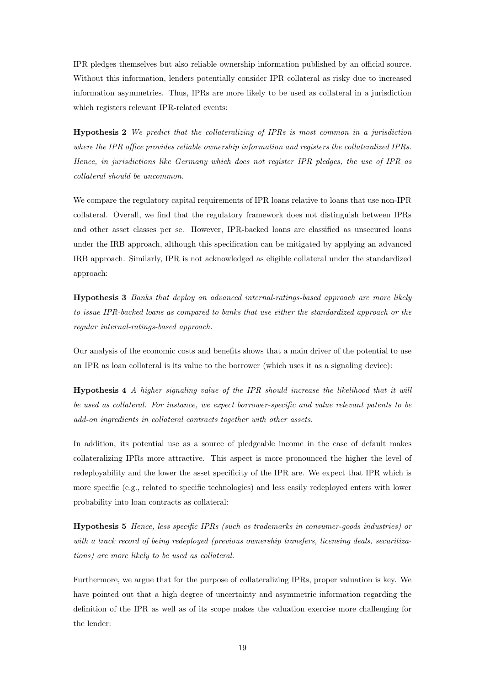IPR pledges themselves but also reliable ownership information published by an official source. Without this information, lenders potentially consider IPR collateral as risky due to increased information asymmetries. Thus, IPRs are more likely to be used as collateral in a jurisdiction which registers relevant IPR-related events:

Hypothesis 2 We predict that the collateralizing of IPRs is most common in a jurisdiction where the IPR office provides reliable ownership information and registers the collateralized IPRs. Hence, in jurisdictions like Germany which does not register IPR pledges, the use of IPR as collateral should be uncommon.

We compare the regulatory capital requirements of IPR loans relative to loans that use non-IPR collateral. Overall, we find that the regulatory framework does not distinguish between IPRs and other asset classes per se. However, IPR-backed loans are classified as unsecured loans under the IRB approach, although this specification can be mitigated by applying an advanced IRB approach. Similarly, IPR is not acknowledged as eligible collateral under the standardized approach:

Hypothesis 3 Banks that deploy an advanced internal-ratings-based approach are more likely to issue IPR-backed loans as compared to banks that use either the standardized approach or the regular internal-ratings-based approach.

Our analysis of the economic costs and benefits shows that a main driver of the potential to use an IPR as loan collateral is its value to the borrower (which uses it as a signaling device):

Hypothesis 4 A higher signaling value of the IPR should increase the likelihood that it will be used as collateral. For instance, we expect borrower-specific and value relevant patents to be add-on ingredients in collateral contracts together with other assets.

In addition, its potential use as a source of pledgeable income in the case of default makes collateralizing IPRs more attractive. This aspect is more pronounced the higher the level of redeployability and the lower the asset specificity of the IPR are. We expect that IPR which is more specific (e.g., related to specific technologies) and less easily redeployed enters with lower probability into loan contracts as collateral:

Hypothesis 5 Hence, less specific IPRs (such as trademarks in consumer-goods industries) or with a track record of being redeployed (previous ownership transfers, licensing deals, securitizations) are more likely to be used as collateral.

Furthermore, we argue that for the purpose of collateralizing IPRs, proper valuation is key. We have pointed out that a high degree of uncertainty and asymmetric information regarding the definition of the IPR as well as of its scope makes the valuation exercise more challenging for the lender: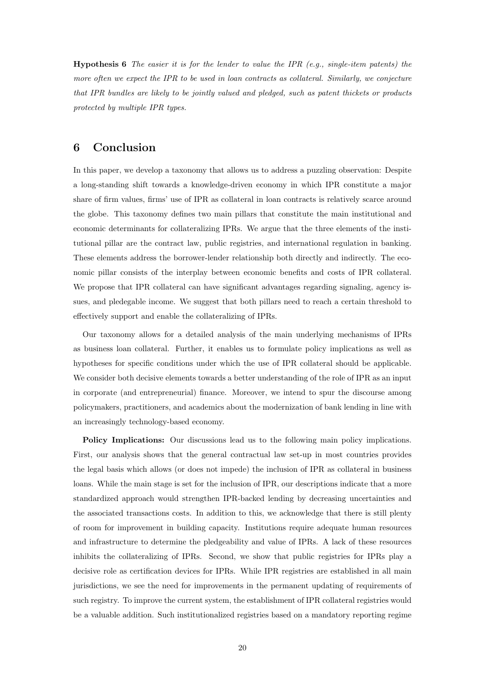**Hypothesis 6** The easier it is for the lender to value the IPR (e.g., single-item patents) the more often we expect the IPR to be used in loan contracts as collateral. Similarly, we conjecture that IPR bundles are likely to be jointly valued and pledged, such as patent thickets or products protected by multiple IPR types.

# <span id="page-20-0"></span>6 Conclusion

In this paper, we develop a taxonomy that allows us to address a puzzling observation: Despite a long-standing shift towards a knowledge-driven economy in which IPR constitute a major share of firm values, firms' use of IPR as collateral in loan contracts is relatively scarce around the globe. This taxonomy defines two main pillars that constitute the main institutional and economic determinants for collateralizing IPRs. We argue that the three elements of the institutional pillar are the contract law, public registries, and international regulation in banking. These elements address the borrower-lender relationship both directly and indirectly. The economic pillar consists of the interplay between economic benefits and costs of IPR collateral. We propose that IPR collateral can have significant advantages regarding signaling, agency issues, and pledegable income. We suggest that both pillars need to reach a certain threshold to effectively support and enable the collateralizing of IPRs.

Our taxonomy allows for a detailed analysis of the main underlying mechanisms of IPRs as business loan collateral. Further, it enables us to formulate policy implications as well as hypotheses for specific conditions under which the use of IPR collateral should be applicable. We consider both decisive elements towards a better understanding of the role of IPR as an input in corporate (and entrepreneurial) finance. Moreover, we intend to spur the discourse among policymakers, practitioners, and academics about the modernization of bank lending in line with an increasingly technology-based economy.

Policy Implications: Our discussions lead us to the following main policy implications. First, our analysis shows that the general contractual law set-up in most countries provides the legal basis which allows (or does not impede) the inclusion of IPR as collateral in business loans. While the main stage is set for the inclusion of IPR, our descriptions indicate that a more standardized approach would strengthen IPR-backed lending by decreasing uncertainties and the associated transactions costs. In addition to this, we acknowledge that there is still plenty of room for improvement in building capacity. Institutions require adequate human resources and infrastructure to determine the pledgeability and value of IPRs. A lack of these resources inhibits the collateralizing of IPRs. Second, we show that public registries for IPRs play a decisive role as certification devices for IPRs. While IPR registries are established in all main jurisdictions, we see the need for improvements in the permanent updating of requirements of such registry. To improve the current system, the establishment of IPR collateral registries would be a valuable addition. Such institutionalized registries based on a mandatory reporting regime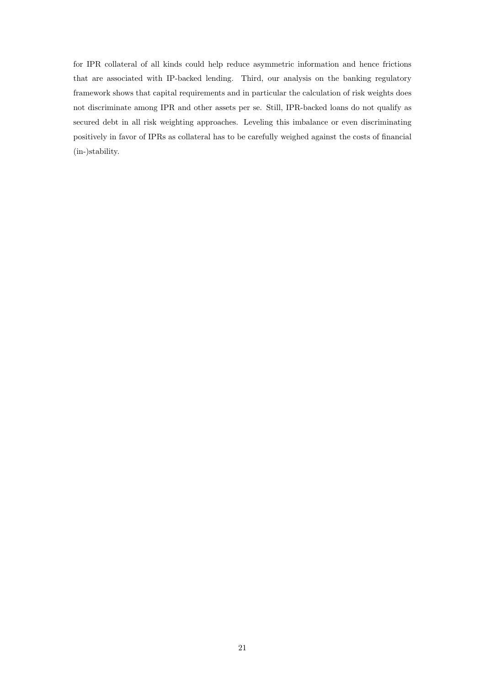for IPR collateral of all kinds could help reduce asymmetric information and hence frictions that are associated with IP-backed lending. Third, our analysis on the banking regulatory framework shows that capital requirements and in particular the calculation of risk weights does not discriminate among IPR and other assets per se. Still, IPR-backed loans do not qualify as secured debt in all risk weighting approaches. Leveling this imbalance or even discriminating positively in favor of IPRs as collateral has to be carefully weighed against the costs of financial (in-)stability.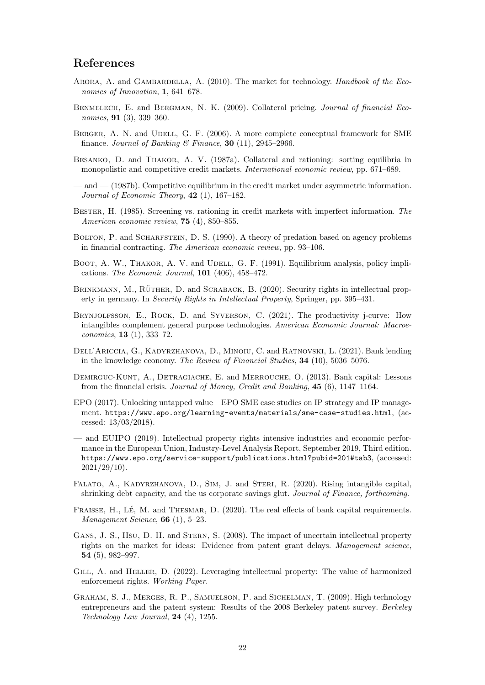## References

- <span id="page-22-17"></span>ARORA, A. and GAMBARDELLA, A. (2010). The market for technology. Handbook of the Economics of Innovation, 1, 641–678.
- <span id="page-22-16"></span>BENMELECH, E. and BERGMAN, N. K. (2009). Collateral pricing. Journal of financial Economics, **91** (3), 339–360.
- <span id="page-22-5"></span>BERGER, A. N. and UDELL, G. F. (2006). A more complete conceptual framework for SME finance. Journal of Banking & Finance, 30 (11), 2945-2966.
- <span id="page-22-12"></span>BESANKO, D. and THAKOR, A. V. (1987a). Collateral and rationing: sorting equilibria in monopolistic and competitive credit markets. International economic review, pp. 671–689.
- <span id="page-22-13"></span>— and — (1987b). Competitive equilibrium in the credit market under asymmetric information. Journal of Economic Theory,  $42$  (1), 167–182.
- <span id="page-22-11"></span>BESTER, H. (1985). Screening vs. rationing in credit markets with imperfect information. The American economic review, 75 (4), 850–855.
- <span id="page-22-15"></span>BOLTON, P. and SCHARFSTEIN, D. S. (1990). A theory of predation based on agency problems in financial contracting. The American economic review, pp. 93–106.
- <span id="page-22-6"></span>BOOT, A. W., THAKOR, A. V. and UDELL, G. F. (1991). Equilibrium analysis, policy implications. The Economic Journal,  $101$  (406), 458-472.
- <span id="page-22-10"></span>BRINKMANN, M., RÜTHER, D. and SCRABACK, B. (2020). Security rights in intellectual property in germany. In Security Rights in Intellectual Property, Springer, pp. 395–431.
- <span id="page-22-0"></span>Brynjolfsson, E., Rock, D. and Syverson, C. (2021). The productivity j-curve: How intangibles complement general purpose technologies. American Economic Journal: Macroeconomics, 13 (1), 333–72.
- <span id="page-22-1"></span>Dell'Ariccia, G., Kadyrzhanova, D., Minoiu, C. and Ratnovski, L. (2021). Bank lending in the knowledge economy. The Review of Financial Studies, 34 (10), 5036–5076.
- <span id="page-22-7"></span>DEMIRGUC-KUNT, A., DETRAGIACHE, E. and MERROUCHE, O. (2013). Bank capital: Lessons from the financial crisis. Journal of Money, Credit and Banking, 45 (6), 1147–1164.
- <span id="page-22-4"></span>EPO (2017). Unlocking untapped value – EPO SME case studies on IP strategy and IP management. <https://www.epo.org/learning-events/materials/sme-case-studies.html>, (accessed: 13/03/2018).
- <span id="page-22-18"></span>— and EUIPO (2019). Intellectual property rights intensive industries and economic performance in the European Union, Industry-Level Analysis Report, September 2019, Third edition. <https://www.epo.org/service-support/publications.html?pubid=201#tab3>, (accessed:  $2021/29/10$ ).
- <span id="page-22-2"></span>Falato, A., Kadyrzhanova, D., Sim, J. and Steri, R. (2020). Rising intangible capital, shrinking debt capacity, and the us corporate savings glut. Journal of Finance, forthcoming.
- <span id="page-22-8"></span>FRAISSE, H., LÉ, M. and THESMAR, D. (2020). The real effects of bank capital requirements. Management Science, 66 (1), 5–23.
- <span id="page-22-9"></span>GANS, J. S., HSU, D. H. and STERN, S. (2008). The impact of uncertain intellectual property rights on the market for ideas: Evidence from patent grant delays. Management science, 54 (5), 982–997.
- <span id="page-22-14"></span>GILL, A. and HELLER, D. (2022). Leveraging intellectual property: The value of harmonized enforcement rights. Working Paper.
- <span id="page-22-3"></span>Graham, S. J., Merges, R. P., Samuelson, P. and Sichelman, T. (2009). High technology entrepreneurs and the patent system: Results of the 2008 Berkeley patent survey. Berkeley Technology Law Journal,  $24$  (4), 1255.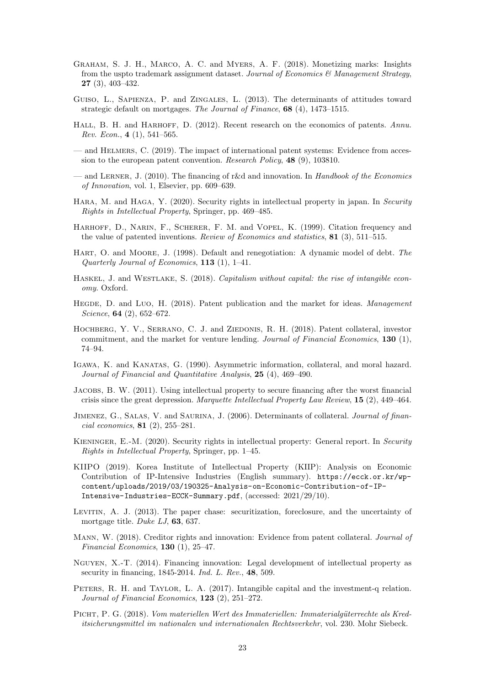- <span id="page-23-2"></span>Graham, S. J. H., Marco, A. C. and Myers, A. F. (2018). Monetizing marks: Insights from the uspto trademark assignment dataset. Journal of Economics  $\mathcal{C}$  Management Strategy, 27 (3), 403–432.
- <span id="page-23-10"></span>Guiso, L., Sapienza, P. and Zingales, L. (2013). The determinants of attitudes toward strategic default on mortgages. The Journal of Finance, 68 (4), 1473–1515.
- <span id="page-23-17"></span>HALL, B. H. and HARHOFF, D. (2012). Recent research on the economics of patents. Annu. Rev. Econ.,  $4(1), 541-565$ .
- <span id="page-23-12"></span>— and Helmers, C. (2019). The impact of international patent systems: Evidence from accession to the european patent convention. Research Policy, 48 (9), 103810.
- <span id="page-23-7"></span>— and LERNER, J. (2010). The financing of r&d and innovation. In Handbook of the Economics of Innovation, vol. 1, Elsevier, pp. 609–639.
- <span id="page-23-5"></span>HARA, M. and HAGA, Y. (2020). Security rights in intellectual property in japan. In Security Rights in Intellectual Property, Springer, pp. 469–485.
- <span id="page-23-18"></span>HARHOFF, D., NARIN, F., SCHERER, F. M. and VOPEL, K. (1999). Citation frequency and the value of patented inventions. Review of Economics and statistics, 81 (3), 511–515.
- <span id="page-23-15"></span>HART, O. and MOORE, J. (1998). Default and renegotiation: A dynamic model of debt. The Quarterly Journal of Economics, 113 (1), 1–41.
- <span id="page-23-4"></span>Haskel, J. and Westlake, S. (2018). Capitalism without capital: the rise of intangible economy. Oxford.
- <span id="page-23-8"></span>HEGDE, D. and Luo, H. (2018). Patent publication and the market for ideas. Management Science, **64** (2), 652-672.
- <span id="page-23-1"></span>HOCHBERG, Y. V., SERRANO, C. J. and ZIEDONIS, R. H. (2018). Patent collateral, investor commitment, and the market for venture lending. Journal of Financial Economics,  $130$  (1), 74–94.
- <span id="page-23-19"></span>Igawa, K. and Kanatas, G. (1990). Asymmetric information, collateral, and moral hazard. Journal of Financial and Quantitative Analysis, 25 (4), 469–490.
- <span id="page-23-14"></span>Jacobs, B. W. (2011). Using intellectual property to secure financing after the worst financial crisis since the great depression. Marquette Intellectual Property Law Review,  $15$  (2),  $449-464$ .
- <span id="page-23-6"></span>JIMENEZ, G., SALAS, V. and SAURINA, J. (2006). Determinants of collateral. Journal of financial economics, 81 (2), 255–281.
- <span id="page-23-3"></span>KIENINGER, E.-M. (2020). Security rights in intellectual property: General report. In Security Rights in Intellectual Property, Springer, pp. 1–45.
- <span id="page-23-20"></span>KIIPO (2019). Korea Institute of Intellectual Property (KIIP): Analysis on Economic Contribution of IP-Intensive Industries (English summary). [https://ecck.or.kr/wp](https://ecck.or.kr/wp-content/uploads/2019/03/190325-Analysis-on-Economic-Contribution-of-IP-Intensive-Industries-ECCK-Summary.pdf)[content/uploads/2019/03/190325-Analysis-on-Economic-Contribution-of-IP-](https://ecck.or.kr/wp-content/uploads/2019/03/190325-Analysis-on-Economic-Contribution-of-IP-Intensive-Industries-ECCK-Summary.pdf)[Intensive-Industries-ECCK-Summary.pdf](https://ecck.or.kr/wp-content/uploads/2019/03/190325-Analysis-on-Economic-Contribution-of-IP-Intensive-Industries-ECCK-Summary.pdf), (accessed: 2021/29/10).
- <span id="page-23-13"></span>Levitin, A. J. (2013). The paper chase: securitization, foreclosure, and the uncertainty of mortgage title. Duke LJ, 63, 637.
- <span id="page-23-0"></span>MANN, W. (2018). Creditor rights and innovation: Evidence from patent collateral. Journal of Financial Economics, 130 (1), 25–47.
- <span id="page-23-11"></span>Nguyen, X.-T. (2014). Financing innovation: Legal development of intellectual property as security in financing, 1845-2014. *Ind. L. Rev.*, **48**, 509.
- <span id="page-23-16"></span>PETERS, R. H. and TAYLOR, L. A. (2017). Intangible capital and the investment-q relation. Journal of Financial Economics, 123 (2), 251–272.
- <span id="page-23-9"></span>PICHT, P. G. (2018). Vom materiellen Wert des Immateriellen: Immaterialgüterrechte als Kreditsicherungsmittel im nationalen und internationalen Rechtsverkehr, vol. 230. Mohr Siebeck.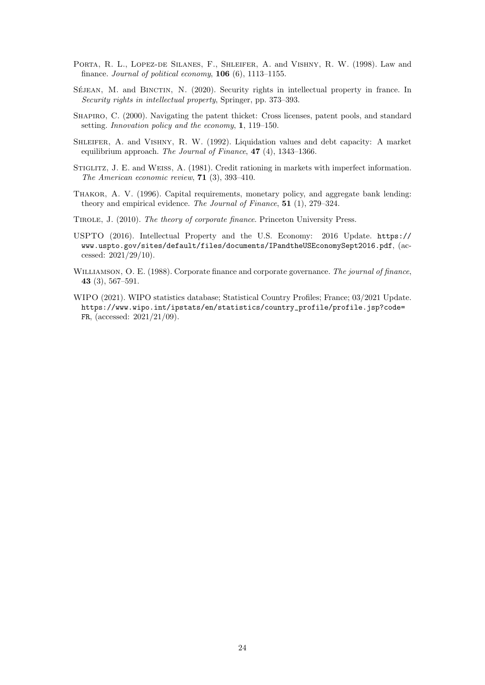- <span id="page-24-3"></span>PORTA, R. L., LOPEZ-DE SILANES, F., SHLEIFER, A. and VISHNY, R. W. (1998). Law and finance. Journal of political economy,  $106(6)$ ,  $1113-1155$ .
- <span id="page-24-4"></span>SÉJEAN, M. and BINCTIN, N. (2020). Security rights in intellectual property in france. In Security rights in intellectual property, Springer, pp. 373–393.
- <span id="page-24-8"></span>SHAPIRO, C. (2000). Navigating the patent thicket: Cross licenses, patent pools, and standard setting. Innovation policy and the economy, 1, 119–150.
- <span id="page-24-7"></span>SHLEIFER, A. and VISHNY, R. W. (1992). Liquidation values and debt capacity: A market equilibrium approach. The Journal of Finance, 47 (4), 1343–1366.
- <span id="page-24-5"></span>STIGLITZ, J. E. and WEISS, A. (1981). Credit rationing in markets with imperfect information. The American economic review, 71 (3), 393–410.
- <span id="page-24-2"></span>Thakor, A. V. (1996). Capital requirements, monetary policy, and aggregate bank lending: theory and empirical evidence. The Journal of Finance, 51 (1), 279–324.
- <span id="page-24-1"></span>Tirole, J. (2010). The theory of corporate finance. Princeton University Press.
- <span id="page-24-9"></span>USPTO (2016). Intellectual Property and the U.S. Economy: 2016 Update. [https://](https://www.uspto.gov/sites/default/files/documents/IPandtheUSEconomySept2016.pdf) [www.uspto.gov/sites/default/files/documents/IPandtheUSEconomySept2016.pdf](https://www.uspto.gov/sites/default/files/documents/IPandtheUSEconomySept2016.pdf), (accessed: 2021/29/10).
- <span id="page-24-6"></span>WILLIAMSON, O. E. (1988). Corporate finance and corporate governance. The journal of finance, 43 (3), 567–591.
- <span id="page-24-0"></span>WIPO (2021). WIPO statistics database; Statistical Country Profiles; France; 03/2021 Update. [https://www.wipo.int/ipstats/en/statistics/country\\_profile/profile.jsp?code=](https://www.wipo.int/ipstats/en/statistics/country_profile/profile.jsp?code=FR) [FR](https://www.wipo.int/ipstats/en/statistics/country_profile/profile.jsp?code=FR), (accessed: 2021/21/09).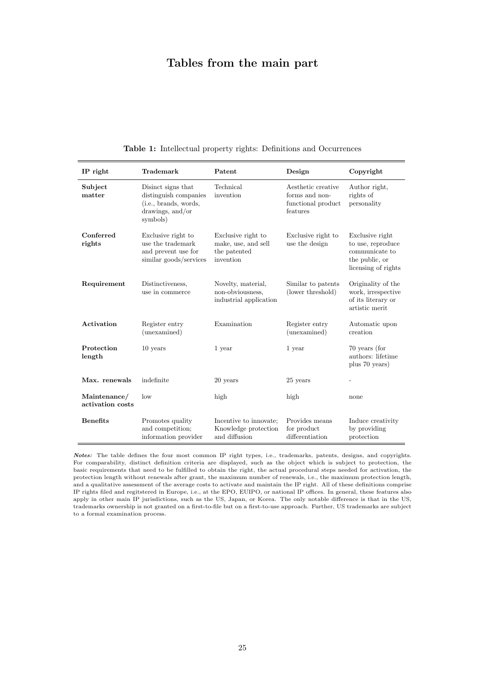# Tables from the main part

| IP right                         | <b>Trademark</b>                                                                                     | Patent                                                                 | Design                                                                 | Copyright                                                                                       |
|----------------------------------|------------------------------------------------------------------------------------------------------|------------------------------------------------------------------------|------------------------------------------------------------------------|-------------------------------------------------------------------------------------------------|
| Subject<br>matter                | Disinct signs that<br>distinguish companies<br>(i.e., brands, words,<br>drawings, and/or<br>symbols) | Technical<br>invention                                                 | Aesthetic creative<br>forms and non-<br>functional product<br>features | Author right,<br>rights of<br>personality                                                       |
| Conferred<br>rights              | Exclusive right to<br>use the trademark<br>and prevent use for<br>similar goods/services             | Exclusive right to<br>make, use, and sell<br>the patented<br>invention | Exclusive right to<br>use the design                                   | Exclusive right<br>to use, reproduce<br>communicate to<br>the public, or<br>licensing of rights |
| Requirement                      | Distinctiveness,<br>use in commerce                                                                  | Novelty, material,<br>non-obviousness,<br>industrial application       | Similar to patents<br>(lower threshold)                                | Originality of the<br>work, irrespective<br>of its literary or<br>artistic merit                |
| Activation                       | Register entry<br>(unexamined)                                                                       | Examination                                                            | Register entry<br>(unexamined)                                         | Automatic upon<br>creation                                                                      |
| Protection<br>length             | $10$ years                                                                                           | 1 year                                                                 | 1 year                                                                 | 70 years (for<br>authors: lifetime<br>plus 70 years)                                            |
| Max. renewals                    | indefinite                                                                                           | 20 years                                                               | $25$ years                                                             |                                                                                                 |
| Maintenance/<br>activation costs | $_{\text{low}}$                                                                                      | high                                                                   | high                                                                   | none                                                                                            |
| <b>Benefits</b>                  | Promotes quality<br>and competition;<br>information provider                                         | Incentive to innovate:<br>Knowledge protection<br>and diffusion        | Provides means<br>for product<br>differentiation                       | Induce creativity<br>by providing<br>protection                                                 |

<span id="page-25-0"></span>Table 1: Intellectual property rights: Definitions and Occurrences

Notes: The table defines the four most common IP right types, i.e., trademarks, patents, designs, and copyrights. For comparability, distinct definition criteria are displayed, such as the object which is subject to protection, the basic requirements that need to be fulfilled to obtain the right, the actual procedural steps needed for activation, the protection length without renewals after grant, the maximum number of renewals, i.e., the maximum protection length, and a qualitative assessment of the average costs to activate and maintain the IP right. All of these definitions comprise IP rights filed and regitstered in Europe, i.e., at the EPO, EUIPO, or national IP offices. In general, these features also apply in other main IP jurisdictions, such as the US, Japan, or Korea. The only notable difference is that in the US, trademarks ownership is not granted on a first-to-file but on a first-to-use approach. Further, US trademarks are subject to a formal examination process.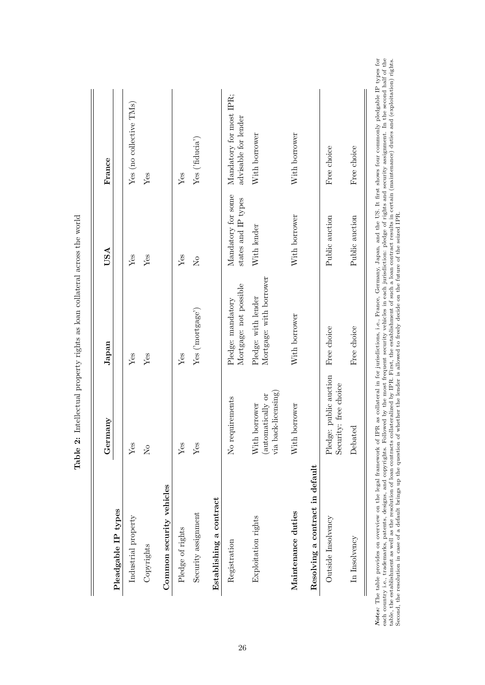<span id="page-26-0"></span>

| Pleadgable IP types             | Germany                                                   | Japan                                          | USA                                             | France                                          |
|---------------------------------|-----------------------------------------------------------|------------------------------------------------|-------------------------------------------------|-------------------------------------------------|
| Industrial property             | Yes                                                       | $Y$ es                                         | Yes                                             | Yes (no collective TMs)                         |
| Copyrights                      | $\mathcal{S}^{\circ}$                                     | Yes                                            | $Y$ es                                          | Yes                                             |
| Common security vehicles        |                                                           |                                                |                                                 |                                                 |
| Pledge of rights                | Yes                                                       | Yes                                            | Yes                                             | Yes                                             |
| Security assignment             | $Y$ es                                                    | Yes ('mortgage')                               | $\overline{R}$                                  | Yes ( 'fducia')                                 |
| Establishing a contract         |                                                           |                                                |                                                 |                                                 |
| Registration                    | No requirements                                           | Mortgage: not possible<br>Pledge: mandatory    | Mandatory for some<br>states and $\rm IP$ types | Mandatory for most IPR;<br>advisable for lender |
| Exploitation rights             | via back-licensing)<br>(automatically or<br>With borrower | Mortgage: with borrower<br>Pledge: with lender | With lender                                     | With borrower                                   |
| Maintenance duties              | With borrower                                             | With borrower                                  | With borrower                                   | With borrower                                   |
| Resolving a contract in default |                                                           |                                                |                                                 |                                                 |
| Outside Insolvency              | Pledge: public auction<br>Security: free choice           | Free choice                                    | Public auction                                  | Free choice                                     |
| In Insolvency                   | Debated                                                   | Free choice                                    | Public auction                                  | Free choice                                     |

Table 2: Intellectual property rights as loan collateral across the world Table 2: Intellectual property rights as loan collateral across the world *Notes:* The table provides on overview on the legal framework of IPR as collateral in for jurisdictions, i.e., France, Germany, Japan, and the US. It first shows four commonly pledgable IP types for each country i.e., tra Notes: The table provides on overview on the legal framework of IPR as collateral in for jurisdictions, i.e., France, Germany, Japan, and the US. It first shows four commonly pledgable IP types for each country i.e., trademarks, patents, designs, and copyrights. Followed by the most frequent security vehicles in each jurisdiction: pledge of rights and security assignment. In the second half of the table, the establishment as well as the resolution of loan contracts collateralized by IPR. First, the establishment of such a loan contract results in certain (maintenance) duties and (exploitation) rights. Second, the resolution in case of a default brings up the question of whether the lender is allowed to freely decide on the future of the seized IPR.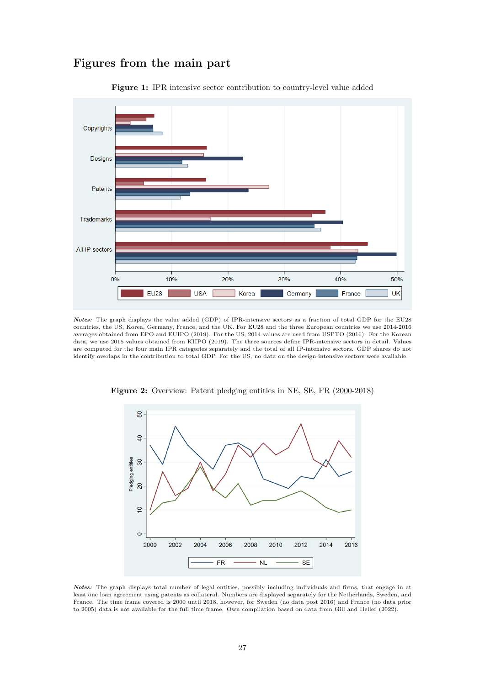

Figures from the main part

<span id="page-27-0"></span>

Notes: The graph displays the value added (GDP) of IPR-intensive sectors as a fraction of total GDP for the EU28 countries, the US, Korea, Germany, France, and the UK. For EU28 and the three European countries we use 2014-2016 averages obtained from [EPO and EUIPO](#page-22-18) [\(2019\)](#page-22-18). For the US, 2014 values are used from [USPTO](#page-24-9) [\(2016\)](#page-24-9). For the Korean data, we use 2015 values obtained from [KIIPO](#page-23-20) [\(2019\)](#page-23-20). The three sources define IPR-intensive sectors in detail. Values are computed for the four main IPR categories separately and the total of all IP-intensive sectors. GDP shares do not identify overlaps in the contribution to total GDP. For the US, no data on the design-intensive sectors were available.

<span id="page-27-1"></span>

Figure 2: Overview: Patent pledging entities in NE, SE, FR (2000-2018)

Notes: The graph displays total number of legal entities, possibly including individuals and firms, that engage in at least one loan agreement using patents as collateral. Numbers are displayed separately for the Netherlands, Sweden, and France. The time frame covered is 2000 until 2018, however, for Sweden (no data post 2016) and France (no data prior to 2005) data is not available for the full time frame. Own compilation based on data from [Gill and Heller](#page-22-14) [\(2022\)](#page-22-14).